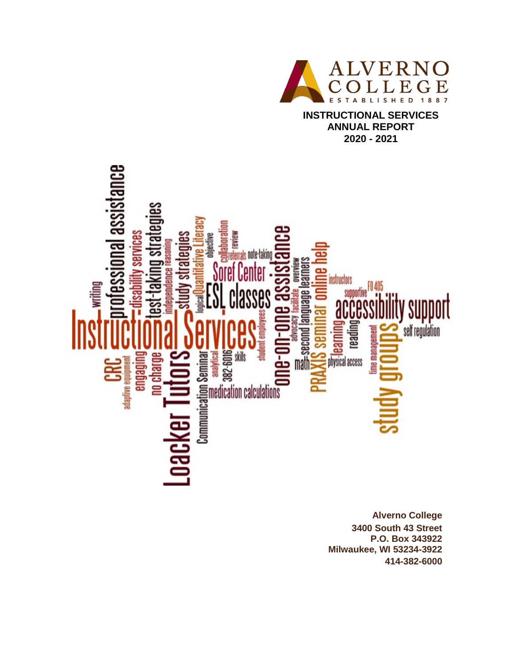

**INSTRUCTIONAL SERVICES ANNUAL REPORT 2020 - 2021**

# ssional assistance IV SBIVICES strateque **TENIE** ᄛ ing st rals note-taking lependence reaso isuusi abenbuej puoas #<br>Talluei abenbuej puoas # instructors ) 405<br>--28<br>B writing supportive SSBS y support self regulation readi **Bulbefue CRC**<br>ORC no charge me ma حخ

**Alverno College 3400 South 43 Street P.O. Box 343922 Milwaukee, WI 53234-3922 414-382-6000**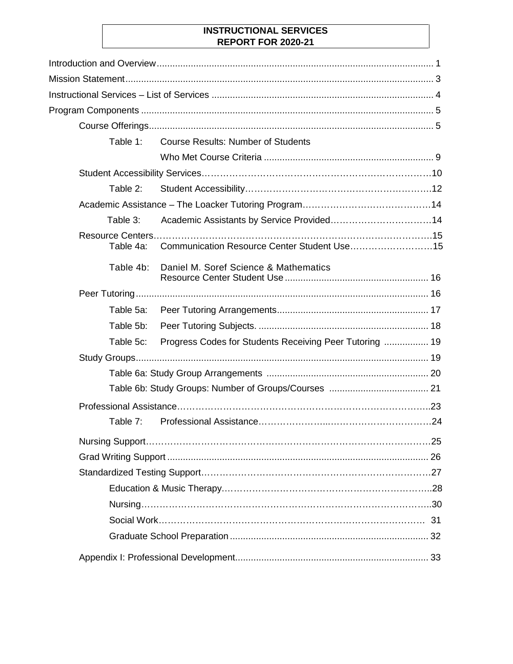## **INSTRUCTIONAL SERVICES REPORT FOR 2020-21**

|           | Table 1: Course Results: Number of Students             |  |
|-----------|---------------------------------------------------------|--|
|           |                                                         |  |
|           |                                                         |  |
| Table 2:  |                                                         |  |
|           |                                                         |  |
| Table 3:  |                                                         |  |
| Table 4a: | Communication Resource Center Student Use15             |  |
| Table 4b: | Daniel M. Soref Science & Mathematics                   |  |
|           |                                                         |  |
| Table 5a: |                                                         |  |
| Table 5b: |                                                         |  |
| Table 5c: | Progress Codes for Students Receiving Peer Tutoring  19 |  |
|           |                                                         |  |
|           |                                                         |  |
|           |                                                         |  |
|           |                                                         |  |
| Table 7:  |                                                         |  |
|           |                                                         |  |
|           |                                                         |  |
|           |                                                         |  |
|           |                                                         |  |
|           |                                                         |  |
|           |                                                         |  |
|           |                                                         |  |
|           |                                                         |  |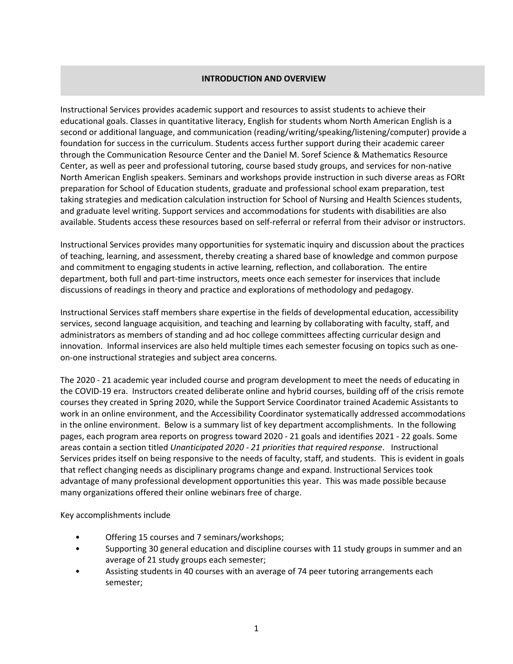### **INTRODUCTION AND OVERVIEW**

Instructional Services provides academic support and resources to assist students to achieve their educational goals. Classes in quantitative literacy, English for students whom North American English is a second or additional language, and communication (reading/writing/speaking/listening/computer) provide a foundation for success in the curriculum. Students access further support during their academic career through the Communication Resource Center and the Daniel M. Soref Science & Mathematics Resource Center, as well as peer and professional tutoring, course based study groups, and services for non-native North American English speakers. Seminars and workshops provide instruction in such diverse areas as FORt preparation for School of Education students, graduate and professional school exam preparation, test taking strategies and medication calculation instruction for School of Nursing and Health Sciences students, and graduate level writing. Support services and accommodations for students with disabilities are also available. Students access these resources based on self-referral or referral from their advisor or instructors.

Instructional Services provides many opportunities for systematic inquiry and discussion about the practices of teaching, learning, and assessment, thereby creating a shared base of knowledge and common purpose and commitment to engaging students in active learning, reflection, and collaboration. The entire department, both full and part-time instructors, meets once each semester for inservices that include discussions of readings in theory and practice and explorations of methodology and pedagogy.

Instructional Services staff members share expertise in the fields of developmental education, accessibility services, second language acquisition, and teaching and learning by collaborating with faculty, staff, and administrators as members of standing and ad hoc college committees affecting curricular design and innovation. Informal inservices are also held multiple times each semester focusing on topics such as oneon-one instructional strategies and subject area concerns.

The 2020 - 21 academic year included course and program development to meet the needs of educating in the COVID-19 era. Instructors created deliberate online and hybrid courses, building off of the crisis remote courses they created in Spring 2020, while the Support Service Coordinator trained Academic Assistants to work in an online environment, and the Accessibility Coordinator systematically addressed accommodations in the online environment. Below is a summary list of key department accomplishments. In the following pages, each program area reports on progress toward 2020 - 21 goals and identifies 2021 - 22 goals. Some areas contain a section titled *Unanticipated 2020 - 21 priorities that required response*. Instructional Services prides itself on being responsive to the needs of faculty, staff, and students. This is evident in goals that reflect changing needs as disciplinary programs change and expand. Instructional Services took advantage of many professional development opportunities this year. This was made possible because many organizations offered their online webinars free of charge.

Key accomplishments include

- Offering 15 courses and 7 seminars/workshops;
- Supporting 30 general education and discipline courses with 11 study groups in summer and an average of 21 study groups each semester;
- Assisting students in 40 courses with an average of 74 peer tutoring arrangements each semester;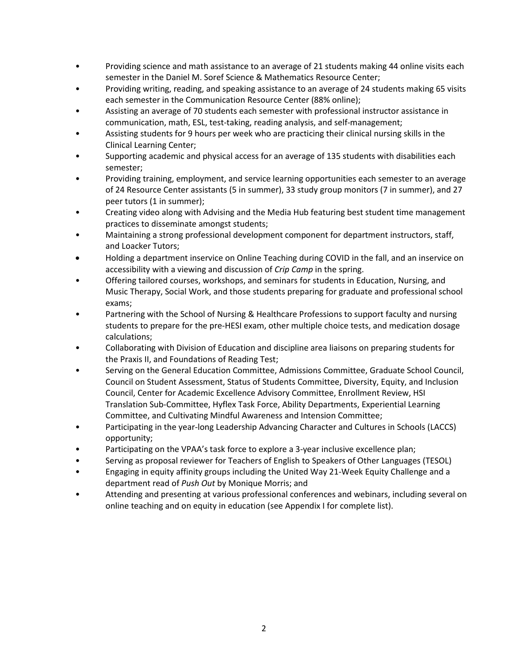- Providing science and math assistance to an average of 21 students making 44 online visits each semester in the Daniel M. Soref Science & Mathematics Resource Center;
- Providing writing, reading, and speaking assistance to an average of 24 students making 65 visits each semester in the Communication Resource Center (88% online);
- Assisting an average of 70 students each semester with professional instructor assistance in communication, math, ESL, test-taking, reading analysis, and self-management;
- Assisting students for 9 hours per week who are practicing their clinical nursing skills in the Clinical Learning Center;
- Supporting academic and physical access for an average of 135 students with disabilities each semester;
- Providing training, employment, and service learning opportunities each semester to an average of 24 Resource Center assistants (5 in summer), 33 study group monitors (7 in summer), and 27 peer tutors (1 in summer);
- Creating video along with Advising and the Media Hub featuring best student time management practices to disseminate amongst students;
- Maintaining a strong professional development component for department instructors, staff, and Loacker Tutors;
- Holding a department inservice on Online Teaching during COVID in the fall, and an inservice on accessibility with a viewing and discussion of *Crip Camp* in the spring.
- Offering tailored courses, workshops, and seminars for students in Education, Nursing, and Music Therapy, Social Work, and those students preparing for graduate and professional school exams;
- Partnering with the School of Nursing & Healthcare Professions to support faculty and nursing students to prepare for the pre-HESI exam, other multiple choice tests, and medication dosage calculations;
- Collaborating with Division of Education and discipline area liaisons on preparing students for the Praxis II, and Foundations of Reading Test;
- Serving on the General Education Committee, Admissions Committee, Graduate School Council, Council on Student Assessment, Status of Students Committee, Diversity, Equity, and Inclusion Council, Center for Academic Excellence Advisory Committee, Enrollment Review, HSI Translation Sub-Committee, Hyflex Task Force, Ability Departments, Experiential Learning Committee, and Cultivating Mindful Awareness and Intension Committee;
- Participating in the year-long Leadership Advancing Character and Cultures in Schools (LACCS) opportunity;
- Participating on the VPAA's task force to explore a 3-year inclusive excellence plan;
- Serving as proposal reviewer for Teachers of English to Speakers of Other Languages (TESOL)
- Engaging in equity affinity groups including the United Way 21-Week Equity Challenge and a department read of *Push Out* by Monique Morris; and
- Attending and presenting at various professional conferences and webinars, including several on online teaching and on equity in education (see Appendix I for complete list).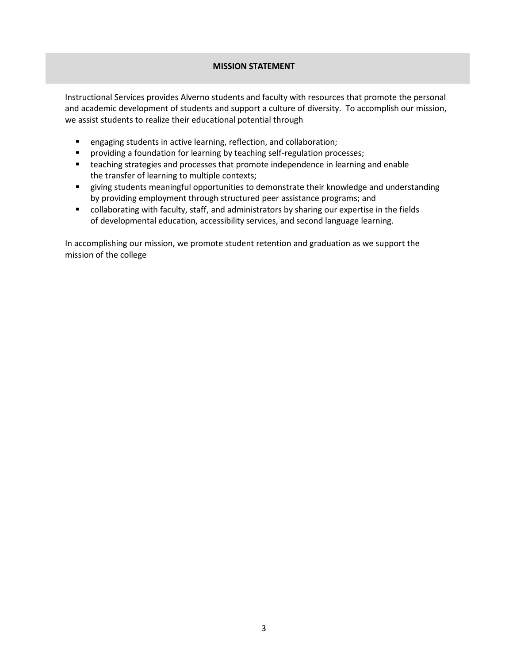## **MISSION STATEMENT**

Instructional Services provides Alverno students and faculty with resources that promote the personal and academic development of students and support a culture of diversity. To accomplish our mission, we assist students to realize their educational potential through

- **E** engaging students in active learning, reflection, and collaboration;
- **Peroviding a foundation for learning by teaching self-regulation processes;**
- **EXECO is the strategies and processes that promote independence in learning and enable** the transfer of learning to multiple contexts;
- giving students meaningful opportunities to demonstrate their knowledge and understanding by providing employment through structured peer assistance programs; and
- collaborating with faculty, staff, and administrators by sharing our expertise in the fields of developmental education, accessibility services, and second language learning.

In accomplishing our mission, we promote student retention and graduation as we support the mission of the college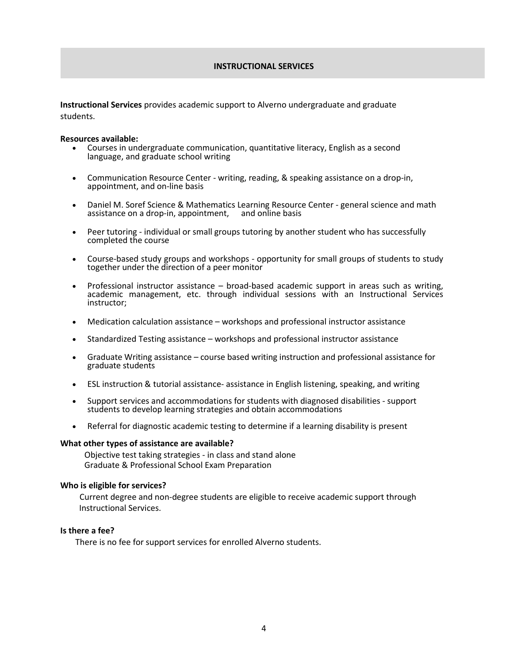#### **INSTRUCTIONAL SERVICES**

**Instructional Services** provides academic support to Alverno undergraduate and graduate students.

#### **Resources available:**

- Courses in undergraduate communication, quantitative literacy, English as a second language, and graduate school writing
- Communication Resource Center writing, reading, & speaking assistance on a drop-in, appointment, and on-line basis
- Daniel M. Soref Science & Mathematics Learning Resource Center general science and math assistance on a drop-in, appointment, and online basis assistance on a drop-in, appointment,
- Peer tutoring individual or small groups tutoring by another student who has successfully completed the course
- Course-based study groups and workshops opportunity for small groups of students to study together under the direction of a peer monitor
- Professional instructor assistance broad-based academic support in areas such as writing, academic management, etc. through individual sessions with an Instructional Services instructor;
- Medication calculation assistance workshops and professional instructor assistance
- Standardized Testing assistance workshops and professional instructor assistance
- Graduate Writing assistance course based writing instruction and professional assistance for graduate students
- ESL instruction & tutorial assistance- assistance in English listening, speaking, and writing
- Support services and accommodations for students with diagnosed disabilities support students to develop learning strategies and obtain accommodations
- Referral for diagnostic academic testing to determine if a learning disability is present

#### **What other types of assistance are available?**

Objective test taking strategies - in class and stand alone Graduate & Professional School Exam Preparation

#### **Who is eligible for services?**

Current degree and non-degree students are eligible to receive academic support through Instructional Services.

#### **Is there a fee?**

There is no fee for support services for enrolled Alverno students.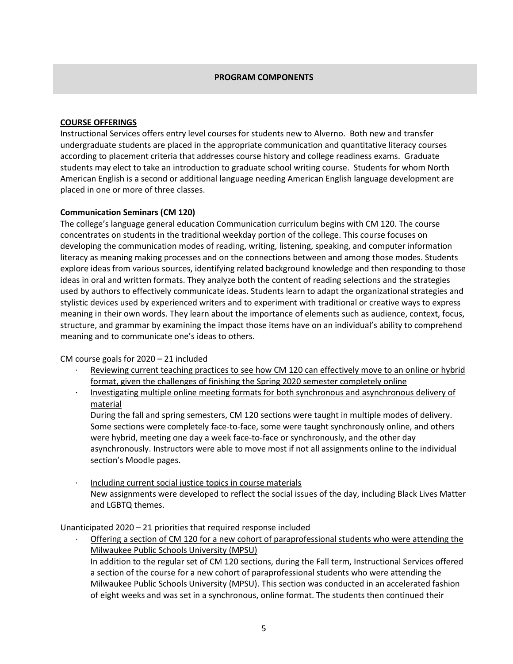#### **PROGRAM COMPONENTS**

## **COURSE OFFERINGS**

Instructional Services offers entry level courses for students new to Alverno. Both new and transfer undergraduate students are placed in the appropriate communication and quantitative literacy courses according to placement criteria that addresses course history and college readiness exams. Graduate students may elect to take an introduction to graduate school writing course. Students for whom North American English is a second or additional language needing American English language development are placed in one or more of three classes.

### **Communication Seminars (CM 120)**

The college's language general education Communication curriculum begins with CM 120. The course concentrates on students in the traditional weekday portion of the college. This course focuses on developing the communication modes of reading, writing, listening, speaking, and computer information literacy as meaning making processes and on the connections between and among those modes. Students explore ideas from various sources, identifying related background knowledge and then responding to those ideas in oral and written formats. They analyze both the content of reading selections and the strategies used by authors to effectively communicate ideas. Students learn to adapt the organizational strategies and stylistic devices used by experienced writers and to experiment with traditional or creative ways to express meaning in their own words. They learn about the importance of elements such as audience, context, focus, structure, and grammar by examining the impact those items have on an individual's ability to comprehend meaning and to communicate one's ideas to others.

CM course goals for 2020 – 21 included

- Reviewing current teaching practices to see how CM 120 can effectively move to an online or hybrid format, given the challenges of finishing the Spring 2020 semester completely online
- · Investigating multiple online meeting formats for both synchronous and asynchronous delivery of material

During the fall and spring semesters, CM 120 sections were taught in multiple modes of delivery. Some sections were completely face-to-face, some were taught synchronously online, and others were hybrid, meeting one day a week face-to-face or synchronously, and the other day asynchronously. Instructors were able to move most if not all assignments online to the individual section's Moodle pages.

Including current social justice topics in course materials New assignments were developed to reflect the social issues of the day, including Black Lives Matter and LGBTQ themes.

Unanticipated 2020 – 21 priorities that required response included

Offering a section of CM 120 for a new cohort of paraprofessional students who were attending the Milwaukee Public Schools University (MPSU)

In addition to the regular set of CM 120 sections, during the Fall term, Instructional Services offered a section of the course for a new cohort of paraprofessional students who were attending the Milwaukee Public Schools University (MPSU). This section was conducted in an accelerated fashion of eight weeks and was set in a synchronous, online format. The students then continued their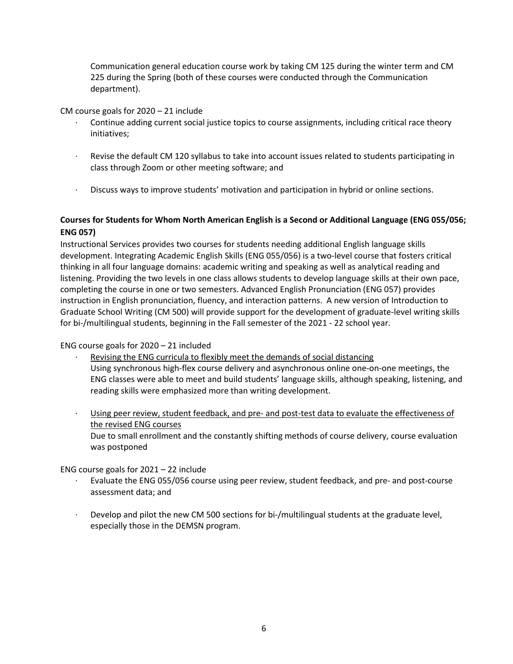Communication general education course work by taking CM 125 during the winter term and CM 225 during the Spring (both of these courses were conducted through the Communication department).

CM course goals for 2020 – 21 include

- Continue adding current social justice topics to course assignments, including critical race theory initiatives;
- · Revise the default CM 120 syllabus to take into account issues related to students participating in class through Zoom or other meeting software; and
- · Discuss ways to improve students' motivation and participation in hybrid or online sections.

## **Courses for Students for Whom North American English is a Second or Additional Language (ENG 055/056; ENG 057)**

Instructional Services provides two courses for students needing additional English language skills development. Integrating Academic English Skills (ENG 055/056) is a two-level course that fosters critical thinking in all four language domains: academic writing and speaking as well as analytical reading and listening. Providing the two levels in one class allows students to develop language skills at their own pace, completing the course in one or two semesters. Advanced English Pronunciation (ENG 057) provides instruction in English pronunciation, fluency, and interaction patterns. A new version of Introduction to Graduate School Writing (CM 500) will provide support for the development of graduate-level writing skills for bi-/multilingual students, beginning in the Fall semester of the 2021 - 22 school year.

ENG course goals for 2020 – 21 included

- Revising the ENG curricula to flexibly meet the demands of social distancing Using synchronous high-flex course delivery and asynchronous online one-on-one meetings, the ENG classes were able to meet and build students' language skills, although speaking, listening, and reading skills were emphasized more than writing development.
- · Using peer review, student feedback, and pre- and post-test data to evaluate the effectiveness of the revised ENG courses Due to small enrollment and the constantly shifting methods of course delivery, course evaluation was postponed

ENG course goals for 2021 – 22 include

- · Evaluate the ENG 055/056 course using peer review, student feedback, and pre- and post-course assessment data; and
- · Develop and pilot the new CM 500 sections for bi-/multilingual students at the graduate level, especially those in the DEMSN program.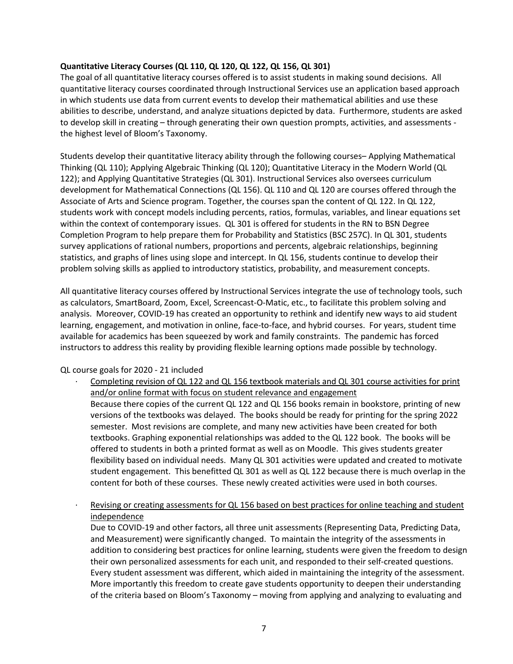### **Quantitative Literacy Courses (QL 110, QL 120, QL 122, QL 156, QL 301)**

The goal of all quantitative literacy courses offered is to assist students in making sound decisions. All quantitative literacy courses coordinated through Instructional Services use an application based approach in which students use data from current events to develop their mathematical abilities and use these abilities to describe, understand, and analyze situations depicted by data. Furthermore, students are asked to develop skill in creating – through generating their own question prompts, activities, and assessments the highest level of Bloom's Taxonomy.

Students develop their quantitative literacy ability through the following courses– Applying Mathematical Thinking (QL 110); Applying Algebraic Thinking (QL 120); Quantitative Literacy in the Modern World (QL 122); and Applying Quantitative Strategies (QL 301). Instructional Services also oversees curriculum development for Mathematical Connections (QL 156). QL 110 and QL 120 are courses offered through the Associate of Arts and Science program. Together, the courses span the content of QL 122. In QL 122, students work with concept models including percents, ratios, formulas, variables, and linear equations set within the context of contemporary issues. QL 301 is offered for students in the RN to BSN Degree Completion Program to help prepare them for Probability and Statistics (BSC 257C). In QL 301, students survey applications of rational numbers, proportions and percents, algebraic relationships, beginning statistics, and graphs of lines using slope and intercept. In QL 156, students continue to develop their problem solving skills as applied to introductory statistics, probability, and measurement concepts.

All quantitative literacy courses offered by Instructional Services integrate the use of technology tools, such as calculators, SmartBoard, Zoom, Excel, Screencast-O-Matic, etc., to facilitate this problem solving and analysis. Moreover, COVID-19 has created an opportunity to rethink and identify new ways to aid student learning, engagement, and motivation in online, face-to-face, and hybrid courses. For years, student time available for academics has been squeezed by work and family constraints. The pandemic has forced instructors to address this reality by providing flexible learning options made possible by technology.

### QL course goals for 2020 - 21 included

Completing revision of QL 122 and QL 156 textbook materials and QL 301 course activities for print and/or online format with focus on student relevance and engagement

Because there copies of the current QL 122 and QL 156 books remain in bookstore, printing of new versions of the textbooks was delayed. The books should be ready for printing for the spring 2022 semester. Most revisions are complete, and many new activities have been created for both textbooks. Graphing exponential relationships was added to the QL 122 book. The books will be offered to students in both a printed format as well as on Moodle. This gives students greater flexibility based on individual needs. Many QL 301 activities were updated and created to motivate student engagement. This benefitted QL 301 as well as QL 122 because there is much overlap in the content for both of these courses. These newly created activities were used in both courses.

Revising or creating assessments for QL 156 based on best practices for online teaching and student independence

Due to COVID-19 and other factors, all three unit assessments (Representing Data, Predicting Data, and Measurement) were significantly changed. To maintain the integrity of the assessments in addition to considering best practices for online learning, students were given the freedom to design their own personalized assessments for each unit, and responded to their self-created questions. Every student assessment was different, which aided in maintaining the integrity of the assessment. More importantly this freedom to create gave students opportunity to deepen their understanding of the criteria based on Bloom's Taxonomy – moving from applying and analyzing to evaluating and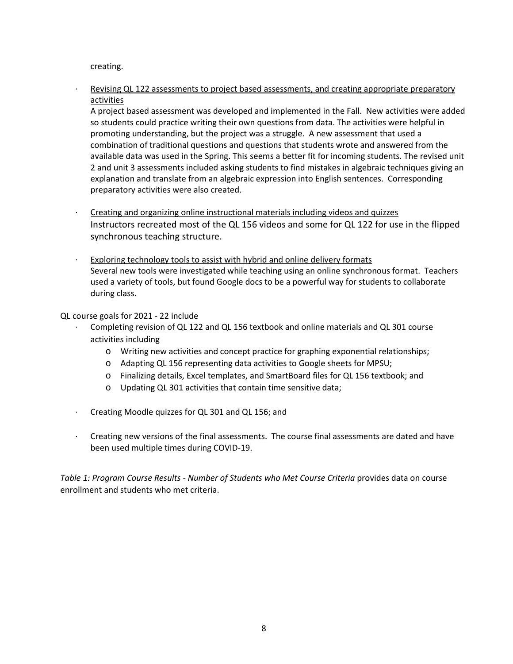creating.

Revising QL 122 assessments to project based assessments, and creating appropriate preparatory activities

A project based assessment was developed and implemented in the Fall. New activities were added so students could practice writing their own questions from data. The activities were helpful in promoting understanding, but the project was a struggle. A new assessment that used a combination of traditional questions and questions that students wrote and answered from the available data was used in the Spring. This seems a better fit for incoming students. The revised unit 2 and unit 3 assessments included asking students to find mistakes in algebraic techniques giving an explanation and translate from an algebraic expression into English sentences. Corresponding preparatory activities were also created.

- · Creating and organizing online instructional materials including videos and quizzes Instructors recreated most of the QL 156 videos and some for QL 122 for use in the flipped synchronous teaching structure.
- Exploring technology tools to assist with hybrid and online delivery formats Several new tools were investigated while teaching using an online synchronous format. Teachers used a variety of tools, but found Google docs to be a powerful way for students to collaborate during class.

QL course goals for 2021 - 22 include

- Completing revision of QL 122 and QL 156 textbook and online materials and QL 301 course activities including
	- o Writing new activities and concept practice for graphing exponential relationships;
	- o Adapting QL 156 representing data activities to Google sheets for MPSU;
	- o Finalizing details, Excel templates, and SmartBoard files for QL 156 textbook; and
	- o Updating QL 301 activities that contain time sensitive data;
- · Creating Moodle quizzes for QL 301 and QL 156; and
- · Creating new versions of the final assessments. The course final assessments are dated and have been used multiple times during COVID-19.

*Table 1: Program Course Results - Number of Students who Met Course Criteria provides data on course* enrollment and students who met criteria.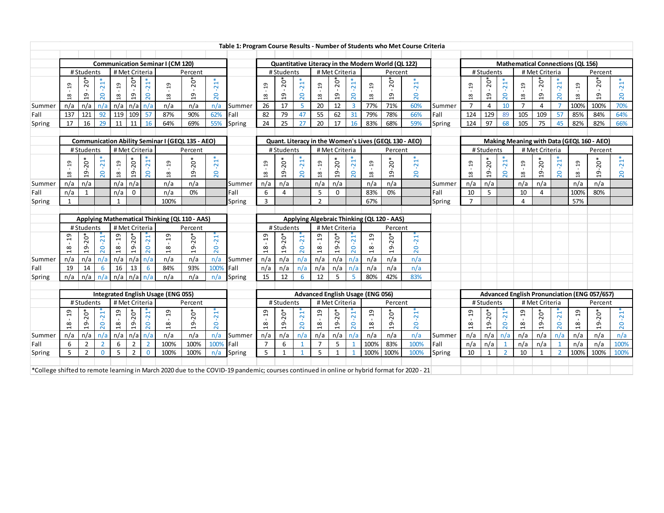|        | Table 1: Program Course Results - Number of Students who Met Course Criteria |                |                |                |                |                 |                                                         |               |                 |                                                                                                                                            |                |                |                 |                |                |                    |                                                    |                |                                                       |        |                |              |                |                               |                |                 |                                          |                                                     |                 |
|--------|------------------------------------------------------------------------------|----------------|----------------|----------------|----------------|-----------------|---------------------------------------------------------|---------------|-----------------|--------------------------------------------------------------------------------------------------------------------------------------------|----------------|----------------|-----------------|----------------|----------------|--------------------|----------------------------------------------------|----------------|-------------------------------------------------------|--------|----------------|--------------|----------------|-------------------------------|----------------|-----------------|------------------------------------------|-----------------------------------------------------|-----------------|
|        |                                                                              |                |                |                |                |                 |                                                         |               |                 |                                                                                                                                            |                |                |                 |                |                |                    |                                                    |                |                                                       |        |                |              |                |                               |                |                 |                                          |                                                     |                 |
|        |                                                                              |                |                |                |                |                 | <b>Communication Seminar I (CM 120)</b>                 |               |                 |                                                                                                                                            |                |                |                 |                |                |                    | Quantitative Literacy in the Modern World (QL 122) |                |                                                       |        |                |              |                |                               |                |                 | <b>Mathematical Connections (QL 156)</b> |                                                     |                 |
|        |                                                                              | # Students     |                | # Met Criteria |                |                 |                                                         | Percent       |                 |                                                                                                                                            |                | #Students      |                 |                | # Met Criteria |                    |                                                    | Percent        |                                                       |        |                | #Students    |                |                               | # Met Criteria |                 |                                          | Percent                                             |                 |
|        | $^{9}$                                                                       | $\overline{0}$ | $-21*$         | $^{9}$         | $5^*$          | $-21*$          | $\overline{c}$                                          | $20*$         | $-21*$          |                                                                                                                                            | $\overline{c}$ | $20*$          | $21*$           | $^{0}1$        | -0°            | $-21*$             | $\overline{c}$                                     | $5^{\circ}$    | $-21$                                                 |        | $\frac{9}{2}$  | $5^{\circ}$  | $-21*$         | 19                            | $20*$          | $\overline{21}$ | 19                                       | $\overline{5}$                                      | $\overline{21}$ |
|        | $^{26}$                                                                      | $\overline{a}$ | 20             | $\frac{8}{18}$ | $^{2}$         | 20              | $\frac{8}{1}$                                           | $\frac{9}{1}$ | 20              |                                                                                                                                            | 18             | $\overline{a}$ | 20              | $\frac{8}{18}$ | $\overline{c}$ | 20                 | 18                                                 | $\overline{a}$ | 20                                                    |        | $\frac{8}{18}$ | $^{9}$       | 20             | $\frac{8}{18}$                | $\overline{5}$ | 20              | $^{28}$                                  | $\overline{5}$                                      | 20              |
| Summer | n/a                                                                          | n/a            | n/a            | n/a            |                | $n/a \mid n/a$  | n/a                                                     | n/a           | n/a             | Summer                                                                                                                                     | 26             | 17             | 5               | 20             | 12             | $\overline{3}$     | 77%                                                | 71%            | 60%                                                   | Summer | $\overline{7}$ | 4            | 10             | $\overline{7}$                | $\overline{4}$ |                 | 100%                                     | 100%                                                | 70%             |
| Fall   | 137                                                                          | 121            | 92             | 119            | 109 57         |                 | 87%                                                     | 90%           | 62%             | Fall                                                                                                                                       | 82             | 79             | 47              | 55             | 62             | 31                 | 79%                                                | 78%            | 66%                                                   | Fall   | 124            | 129          | 89             | 105                           | 109            | 57              | 85%                                      | 84%                                                 | 64%             |
| Spring | 17                                                                           | 16             | 29             | 11             | 11             | 16              | 64%                                                     | 69%           | 55%             | Spring                                                                                                                                     | 24             | 25             | 27              | 20             | 17             | 16                 | 83%                                                | 68%            | 59%                                                   | Spring | 124            | 97           | 68             | 105                           | 75             | 45              | 82%                                      | 82%                                                 | 66%             |
|        |                                                                              |                |                |                |                |                 |                                                         |               |                 |                                                                                                                                            |                |                |                 |                |                |                    |                                                    |                |                                                       |        |                |              |                |                               |                |                 |                                          |                                                     |                 |
|        |                                                                              |                |                |                |                |                 | <b>Communication Ability Seminar I (GEQL 135 - AEO)</b> |               |                 |                                                                                                                                            |                |                |                 |                |                |                    |                                                    |                | Quant. Literacy in the Women's Lives (GEQL 130 - AEO) |        |                |              |                |                               |                |                 |                                          | Making Meaning with Data (GEQL 160 - AEO)           |                 |
|        |                                                                              | # Students     |                | # Met Criteria |                |                 |                                                         | Percent       |                 |                                                                                                                                            |                | # Students     |                 |                | # Met Criteria |                    |                                                    | Percent        |                                                       |        |                | # Students   |                |                               | # Met Criteria |                 |                                          | Percent                                             |                 |
|        |                                                                              |                |                |                |                | $\overline{21}$ |                                                         |               | $21*$           |                                                                                                                                            |                |                | 21              |                |                |                    |                                                    |                | $\ddot{2}$                                            |        |                |              | $21*$          |                               |                | 21              |                                          |                                                     |                 |
|        | ្មា                                                                          | $19 - 20*$     | $-21$          | $^{9}$         | 19-20*         |                 | $\overline{a}$                                          | $19 - 20*$    |                 |                                                                                                                                            | $\overline{a}$ | ÷0°            |                 | $\overline{5}$ | $19 - 20*$     | $-21$ <sup>*</sup> | $\overline{a}$                                     | $19 - 20*$     | $\circ$                                               |        | $\overline{a}$ | 19-20*       |                | $\overline{a}$                | $19 - 20*$     |                 | $\overline{a}$                           | $19 - 20*$                                          | $\sim$          |
|        | $^{26}$                                                                      |                | 20             | $^{18}$        |                | 20              | $^{18}$                                                 |               | 20              |                                                                                                                                            | 18             | $\frac{1}{2}$  | 20              | $^{26}$        |                | 20                 | 18                                                 |                | $\overline{\mathbf{C}}$                               |        | 18             |              | 20             | $18$                          |                | 20              | $^{18}$                                  |                                                     | 20              |
| Summer | n/a                                                                          | n/a            |                | n/a            | n/a            |                 | n/a                                                     | n/a           |                 | Summer                                                                                                                                     | n/a            | n/a            |                 | n/a            | n/a            |                    | n/a                                                | n/a            |                                                       | Summer | n/a            | n/a          |                | n/a                           | n/a            |                 | n/a                                      | n/a                                                 |                 |
| Fall   | n/a                                                                          | 1              |                | n/a            | $\mathbf 0$    |                 | n/a                                                     | 0%            |                 | Fall                                                                                                                                       | 6              | 4              |                 | 5              | $\Omega$       |                    | 83%                                                | 0%             |                                                       | Fall   | 10             | 5            |                | 10                            | $\overline{4}$ |                 | 100%                                     | 80%                                                 |                 |
| Spring |                                                                              |                |                |                |                |                 | 100%                                                    |               |                 | Spring                                                                                                                                     | 3              |                |                 | $\overline{2}$ |                |                    | 67%                                                |                |                                                       | Spring | $\overline{7}$ |              |                | $\overline{a}$                |                |                 | 57%                                      |                                                     |                 |
|        |                                                                              |                |                |                |                |                 | Applying Mathematical Thinking (QL 110 - AAS)           |               |                 |                                                                                                                                            |                |                |                 |                |                |                    | Applying Algebraic Thinking (QL 120 - AAS)         |                |                                                       |        |                |              |                |                               |                |                 |                                          |                                                     |                 |
|        |                                                                              | # Students     |                | # Met Criteria |                |                 |                                                         | Percent       |                 |                                                                                                                                            |                | # Students     |                 |                | # Met Criteria |                    |                                                    | Percent        |                                                       |        |                |              |                |                               |                |                 |                                          |                                                     |                 |
|        | $\overline{a}$                                                               |                |                | $_{\rm q}$     |                |                 | $\overline{a}$                                          |               |                 |                                                                                                                                            | $\mathfrak{g}$ |                |                 | <u>၅</u>       |                |                    | $\overline{a}$                                     |                |                                                       |        |                |              |                |                               |                |                 |                                          |                                                     |                 |
|        |                                                                              | $19 - 20*$     | $-21$          |                | $19 - 20*$     | $\overline{21}$ | $\mathbf{I}$                                            | $19 - 20*$    | $-21$           |                                                                                                                                            |                | $19 - 20*$     | $\overline{21}$ |                | $19 - 20*$     | $-21$              | $\mathbf{L}$                                       | $20*$          | $\overline{21}$                                       |        |                |              |                |                               |                |                 |                                          |                                                     |                 |
|        | $^{26}$                                                                      |                | 20             | $^{18}$        |                | 20              | $18$                                                    |               | 20              |                                                                                                                                            | $18$           |                | 20              | $^{26}$        |                | 20                 | $\frac{8}{10}$                                     | $19 -$         | 20                                                    |        |                |              |                |                               |                |                 |                                          |                                                     |                 |
| Summer | n/a                                                                          | n/a            | n/a            | n/a            |                | $n/a \mid n/a$  | n/a                                                     | n/a           | n/a             | Summer                                                                                                                                     | n/a            | n/a            | n/a             | n/a            | n/a            | n/a                | n/a                                                | n/a            | n/a                                                   |        |                |              |                |                               |                |                 |                                          |                                                     |                 |
| Fall   | 19                                                                           | 14             | 6              | 16             | 13             | -6              | 84%                                                     | 93%           | 100%            | Fall                                                                                                                                       | n/a            | n/a            | n/a             | n/a            | n/a            | n/a                | n/a                                                | n/a            | n/a                                                   |        |                |              |                |                               |                |                 |                                          |                                                     |                 |
| Spring | n/a                                                                          | n/a            | n/a            | n/a            |                | $n/a \mid n/a$  | n/a                                                     | n/a           | n/a             | Spring                                                                                                                                     | 15             | 12             | 6               | 12             | 5              | 5                  | 80%                                                | 42%            | 83%                                                   |        |                |              |                |                               |                |                 |                                          |                                                     |                 |
|        |                                                                              |                |                |                |                |                 |                                                         |               |                 |                                                                                                                                            |                |                |                 |                |                |                    |                                                    |                |                                                       |        |                |              |                |                               |                |                 |                                          |                                                     |                 |
|        |                                                                              | # Students     |                | # Met Criteria |                |                 | Integrated English Usage (ENG 055)                      |               |                 |                                                                                                                                            |                | # Students     |                 |                |                |                    | Advanced English Usage (ENG 056)                   |                |                                                       |        |                |              |                |                               |                |                 |                                          | <b>Advanced English Pronunciation (ENG 057/657)</b> |                 |
|        |                                                                              |                |                |                |                |                 |                                                         | Percent       |                 |                                                                                                                                            |                |                |                 |                | # Met Criteria |                    |                                                    | Percent        |                                                       |        |                | # Students   |                |                               | # Met Criteria |                 |                                          | Percent                                             |                 |
|        | $\overline{a}$                                                               | $19 - 20*$     | $-21$          | $^{9}$         | $19 - 20*$     | 21              | $\overline{a}$<br>$\mathbf{I}$                          | $19 - 20*$    | $-21$           |                                                                                                                                            | $\overline{1}$ | $19 - 20*$     | $\overline{21}$ | $^{29}$        | $20*$          | $-21$              | $\overline{a}$<br>$\mathbf{L}$                     | $19 - 20*$     | $\overline{21}$                                       |        | $\overline{c}$ | $20*$        | $-21$          | $\frac{9}{1}$<br>$\mathbf{L}$ | $19 - 20*$     | $\overline{21}$ | $\overline{a}$                           | $19 - 20*$                                          | $\overline{21}$ |
|        | $^{26}$                                                                      |                | 20             | $^{28}$        |                | 20              | $\frac{8}{18}$                                          |               | 20 <sub>1</sub> |                                                                                                                                            | $\frac{8}{1}$  |                | 20              | $^{26}$        | $19-$          | 20                 | $^{8}$                                             |                | 20                                                    |        | $\frac{8}{18}$ | $19-$        | 20             | $^{26}$                       |                | 20              | $^{28}$                                  |                                                     | 20              |
| Summer | n/a                                                                          | n/a            | n/a            | n/a            |                | $n/a \mid n/a$  | n/a                                                     | n/a           | n/a             | Summer                                                                                                                                     | n/a            | n/a            | n/a             | n/a            | n/a            | n/a                | n/a                                                | n/a            | n/a                                                   | Summer | n/a            | n/a          | n/a            | n/a                           | n/a            | n/a             | n/a                                      | n/a                                                 | n/a             |
| Fall   | 6                                                                            | $\overline{2}$ | $\overline{2}$ | 6              | $\overline{2}$ | $\overline{2}$  | 100%                                                    | 100%          | 100%            | Fall                                                                                                                                       | $\overline{7}$ | 6              |                 | $\overline{7}$ | 5              |                    | 100%                                               | 83%            | 100%                                                  | Fall   | n/a            | n/a          |                | n/a                           | n/a            |                 | n/a                                      | n/a                                                 | 100%            |
| Spring | 5                                                                            | $\overline{2}$ | $\mathbf{0}$   | 5              | $\overline{2}$ | $\mathbf 0$     | 100%                                                    | 100%          | n/a             | Spring                                                                                                                                     | 5              | 1              | $\mathbf{1}$    | 5              | $\mathbf{1}$   |                    | 100%                                               | 100%           | 100%                                                  | Spring | 10             | $\mathbf{1}$ | $\overline{2}$ | 10                            | 1              | $\overline{2}$  | 100%                                     | 100%                                                | 100%            |
|        |                                                                              |                |                |                |                |                 |                                                         |               |                 |                                                                                                                                            |                |                |                 |                |                |                    |                                                    |                |                                                       |        |                |              |                |                               |                |                 |                                          |                                                     |                 |
|        |                                                                              |                |                |                |                |                 |                                                         |               |                 | *College shifted to remote learning in March 2020 due to the COVID-19 pandemic; courses continued in online or hybrid format for 2020 - 21 |                |                |                 |                |                |                    |                                                    |                |                                                       |        |                |              |                |                               |                |                 |                                          |                                                     |                 |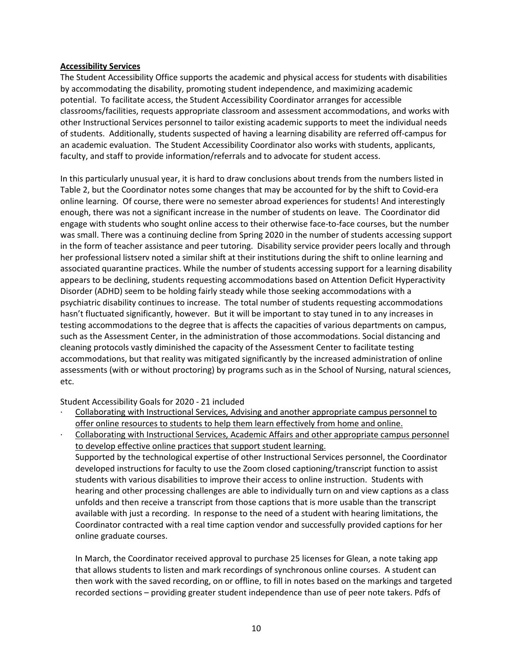### **Accessibility Services**

The Student Accessibility Office supports the academic and physical access for students with disabilities by accommodating the disability, promoting student independence, and maximizing academic potential. To facilitate access, the Student Accessibility Coordinator arranges for accessible classrooms/facilities, requests appropriate classroom and assessment accommodations, and works with other Instructional Services personnel to tailor existing academic supports to meet the individual needs of students. Additionally, students suspected of having a learning disability are referred off-campus for an academic evaluation. The Student Accessibility Coordinator also works with students, applicants, faculty, and staff to provide information/referrals and to advocate for student access.

In this particularly unusual year, it is hard to draw conclusions about trends from the numbers listed in Table 2, but the Coordinator notes some changes that may be accounted for by the shift to Covid-era online learning. Of course, there were no semester abroad experiences for students! And interestingly enough, there was not a significant increase in the number of students on leave. The Coordinator did engage with students who sought online access to their otherwise face-to-face courses, but the number was small. There was a continuing decline from Spring 2020 in the number of students accessing support in the form of teacher assistance and peer tutoring. Disability service provider peers locally and through her professional listserv noted a similar shift at their institutions during the shift to online learning and associated quarantine practices. While the number of students accessing support for a learning disability appears to be declining, students requesting accommodations based on Attention Deficit Hyperactivity Disorder (ADHD) seem to be holding fairly steady while those seeking accommodations with a psychiatric disability continues to increase. The total number of students requesting accommodations hasn't fluctuated significantly, however. But it will be important to stay tuned in to any increases in testing accommodations to the degree that is affects the capacities of various departments on campus, such as the Assessment Center, in the administration of those accommodations. Social distancing and cleaning protocols vastly diminished the capacity of the Assessment Center to facilitate testing accommodations, but that reality was mitigated significantly by the increased administration of online assessments (with or without proctoring) by programs such as in the School of Nursing, natural sciences, etc.

Student Accessibility Goals for 2020 - 21 included

- · Collaborating with Instructional Services, Advising and another appropriate campus personnel to offer online resources to students to help them learn effectively from home and online.
- · Collaborating with Instructional Services, Academic Affairs and other appropriate campus personnel to develop effective online practices that support student learning. Supported by the technological expertise of other Instructional Services personnel, the Coordinator developed instructions for faculty to use the Zoom closed captioning/transcript function to assist students with various disabilities to improve their access to online instruction. Students with

hearing and other processing challenges are able to individually turn on and view captions as a class unfolds and then receive a transcript from those captions that is more usable than the transcript available with just a recording. In response to the need of a student with hearing limitations, the Coordinator contracted with a real time caption vendor and successfully provided captions for her online graduate courses.

In March, the Coordinator received approval to purchase 25 licenses for Glean, a note taking app that allows students to listen and mark recordings of synchronous online courses. A student can then work with the saved recording, on or offline, to fill in notes based on the markings and targeted recorded sections – providing greater student independence than use of peer note takers. Pdfs of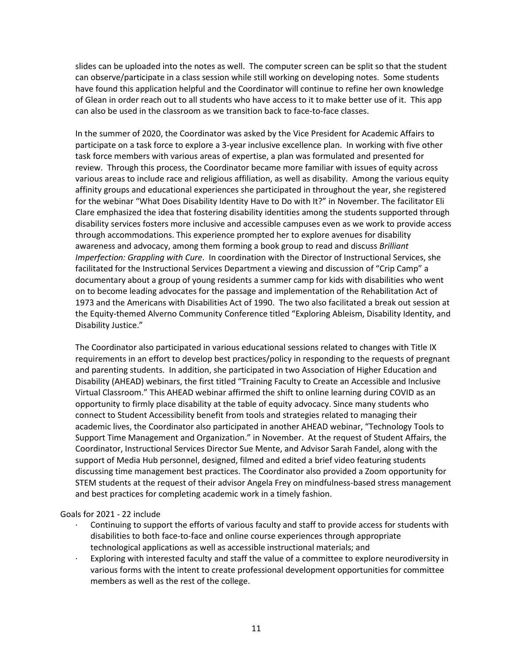slides can be uploaded into the notes as well. The computer screen can be split so that the student can observe/participate in a class session while still working on developing notes. Some students have found this application helpful and the Coordinator will continue to refine her own knowledge of Glean in order reach out to all students who have access to it to make better use of it. This app can also be used in the classroom as we transition back to face-to-face classes.

In the summer of 2020, the Coordinator was asked by the Vice President for Academic Affairs to participate on a task force to explore a 3-year inclusive excellence plan. In working with five other task force members with various areas of expertise, a plan was formulated and presented for review. Through this process, the Coordinator became more familiar with issues of equity across various areas to include race and religious affiliation, as well as disability. Among the various equity affinity groups and educational experiences she participated in throughout the year, she registered for the webinar "What Does Disability Identity Have to Do with It?" in November. The facilitator Eli Clare emphasized the idea that fostering disability identities among the students supported through disability services fosters more inclusive and accessible campuses even as we work to provide access through accommodations. This experience prompted her to explore avenues for disability awareness and advocacy, among them forming a book group to read and discuss *Brilliant Imperfection: Grappling with Cure*. In coordination with the Director of Instructional Services, she facilitated for the Instructional Services Department a viewing and discussion of "Crip Camp" a documentary about a group of young residents a summer camp for kids with disabilities who went on to become leading advocates for the passage and implementation of the Rehabilitation Act of 1973 and the Americans with Disabilities Act of 1990. The two also facilitated a break out session at the Equity-themed Alverno Community Conference titled "Exploring Ableism, Disability Identity, and Disability Justice."

The Coordinator also participated in various educational sessions related to changes with Title IX requirements in an effort to develop best practices/policy in responding to the requests of pregnant and parenting students. In addition, she participated in two Association of Higher Education and Disability (AHEAD) webinars, the first titled "Training Faculty to Create an Accessible and Inclusive Virtual Classroom." This AHEAD webinar affirmed the shift to online learning during COVID as an opportunity to firmly place disability at the table of equity advocacy. Since many students who connect to Student Accessibility benefit from tools and strategies related to managing their academic lives, the Coordinator also participated in another AHEAD webinar, "Technology Tools to Support Time Management and Organization." in November. At the request of Student Affairs, the Coordinator, Instructional Services Director Sue Mente, and Advisor Sarah Fandel, along with the support of Media Hub personnel, designed, filmed and edited a brief video featuring students discussing time management best practices. The Coordinator also provided a Zoom opportunity for STEM students at the request of their advisor Angela Frey on mindfulness-based stress management and best practices for completing academic work in a timely fashion.

### Goals for 2021 - 22 include

- Continuing to support the efforts of various faculty and staff to provide access for students with disabilities to both face-to-face and online course experiences through appropriate technological applications as well as accessible instructional materials; and
- Exploring with interested faculty and staff the value of a committee to explore neurodiversity in various forms with the intent to create professional development opportunities for committee members as well as the rest of the college.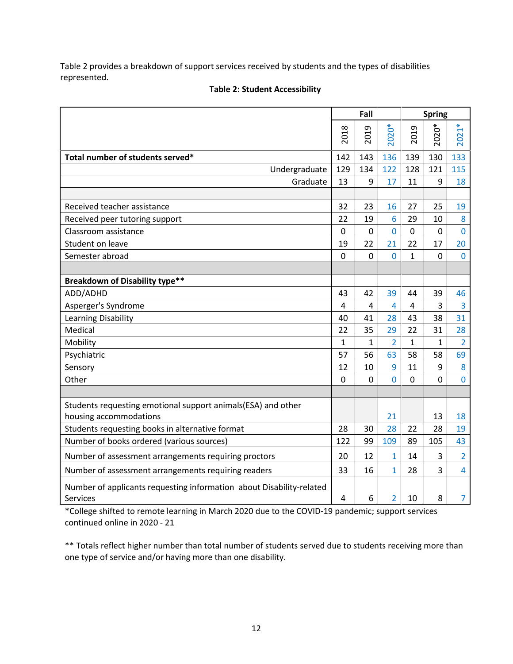Table 2 provides a breakdown of support services received by students and the types of disabilities represented.

|                                                                                        |                | Fall           |                |             | <b>Spring</b>  |                |
|----------------------------------------------------------------------------------------|----------------|----------------|----------------|-------------|----------------|----------------|
|                                                                                        | 2018           | 2019           | 2020*          | 2019        | 2020*          | $2021*$        |
| Total number of students served*                                                       | 142            | 143            | 136            | 139         | 130            | 133            |
| Undergraduate                                                                          | 129            | 134            | 122            | 128         | 121            | 115            |
| Graduate                                                                               | 13             | 9              | 17             | 11          | 9              | 18             |
|                                                                                        |                |                |                |             |                |                |
| Received teacher assistance                                                            | 32             | 23             | 16             | 27          | 25             | 19             |
| Received peer tutoring support                                                         | 22             | 19             | 6              | 29          | 10             | 8              |
| Classroom assistance                                                                   | $\mathbf 0$    | $\mathbf 0$    | $\overline{0}$ | $\mathbf 0$ | $\mathbf 0$    | $\mathbf 0$    |
| Student on leave                                                                       | 19             | 22             | 21             | 22          | 17             | 20             |
| Semester abroad                                                                        | $\mathbf 0$    | $\mathbf 0$    | 0              | $\mathbf 1$ | $\mathbf 0$    | $\overline{0}$ |
|                                                                                        |                |                |                |             |                |                |
| <b>Breakdown of Disability type**</b>                                                  |                |                |                |             |                |                |
| ADD/ADHD                                                                               | 43             | 42             | 39             | 44          | 39             | 46             |
| Asperger's Syndrome                                                                    | $\overline{4}$ | $\overline{4}$ | $\overline{4}$ | 4           | 3              | 3              |
| Learning Disability                                                                    | 40             | 41             | 28             | 43          | 38             | 31             |
| Medical                                                                                | 22             | 35             | 29             | 22          | 31             | 28             |
| Mobility                                                                               | $\mathbf{1}$   | $\mathbf{1}$   | $\overline{2}$ | $\mathbf 1$ | $\mathbf 1$    | $\overline{2}$ |
| Psychiatric                                                                            | 57             | 56             | 63             | 58          | 58             | 69             |
| Sensory                                                                                | 12             | 10             | 9              | 11          | 9              | 8              |
| Other                                                                                  | $\mathbf 0$    | $\mathbf 0$    | $\overline{0}$ | $\mathbf 0$ | $\overline{0}$ | $\overline{0}$ |
|                                                                                        |                |                |                |             |                |                |
| Students requesting emotional support animals(ESA) and other<br>housing accommodations |                |                | 21             |             | 13             | 18             |
| Students requesting books in alternative format                                        | 28             | 30             | 28             | 22          | 28             | 19             |
| Number of books ordered (various sources)                                              | 122            | 99             | 109            | 89          | 105            | 43             |
| Number of assessment arrangements requiring proctors                                   | 20             | 12             | $\mathbf{1}$   | 14          | 3              | $\overline{2}$ |
| Number of assessment arrangements requiring readers                                    | 33             | 16             | $\overline{1}$ | 28          | 3              | $\overline{4}$ |
| Number of applicants requesting information about Disability-related<br>Services       | 4              | 6              | $\overline{2}$ | 10          | 8              | $\overline{7}$ |

## **Table 2: Student Accessibility**

\*College shifted to remote learning in March 2020 due to the COVID-19 pandemic; support services continued online in 2020 - 21

\*\* Totals reflect higher number than total number of students served due to students receiving more than one type of service and/or having more than one disability.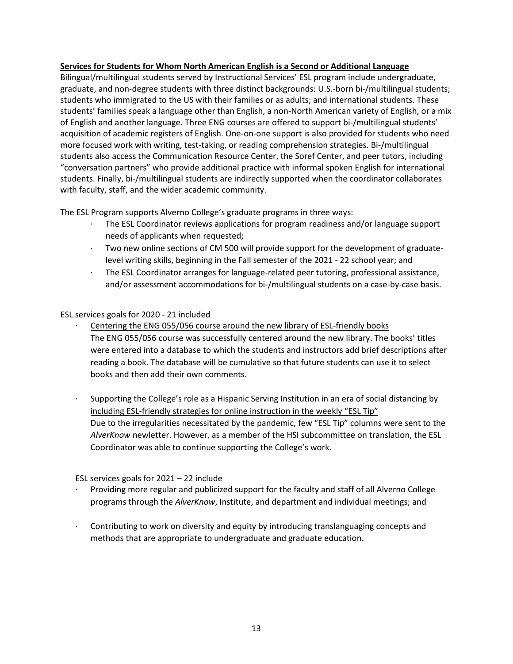### **Services for Students for Whom North American English is a Second or Additional Language**

Bilingual/multilingual students served by Instructional Services' ESL program include undergraduate, graduate, and non-degree students with three distinct backgrounds: U.S.-born bi-/multilingual students; students who immigrated to the US with their families or as adults; and international students. These students' families speak a language other than English, a non-North American variety of English, or a mix of English and another language. Three ENG courses are offered to support bi-/multilingual students' acquisition of academic registers of English. One-on-one support is also provided for students who need more focused work with writing, test-taking, or reading comprehension strategies. Bi-/multilingual students also access the Communication Resource Center, the Soref Center, and peer tutors, including "conversation partners" who provide additional practice with informal spoken English for international students. Finally, bi-/multilingual students are indirectly supported when the coordinator collaborates with faculty, staff, and the wider academic community.

The ESL Program supports Alverno College's graduate programs in three ways:

- · The ESL Coordinator reviews applications for program readiness and/or language support needs of applicants when requested;
- Two new online sections of CM 500 will provide support for the development of graduatelevel writing skills, beginning in the Fall semester of the 2021 - 22 school year; and
- · The ESL Coordinator arranges for language-related peer tutoring, professional assistance, and/or assessment accommodations for bi-/multilingual students on a case-by-case basis.

ESL services goals for 2020 - 21 included

- Centering the ENG 055/056 course around the new library of ESL-friendly books The ENG 055/056 course was successfully centered around the new library. The books' titles were entered into a database to which the students and instructors add brief descriptions after reading a book. The database will be cumulative so that future students can use it to select books and then add their own comments.
- · Supporting the College's role as a Hispanic Serving Institution in an era of social distancing by including ESL-friendly strategies for online instruction in the weekly "ESL Tip" Due to the irregularities necessitated by the pandemic, few "ESL Tip" columns were sent to the *AlverKnow* newletter. However, as a member of the HSI subcommittee on translation, the ESL Coordinator was able to continue supporting the College's work.

ESL services goals for 2021 – 22 include

- · Providing more regular and publicized support for the faculty and staff of all Alverno College programs through the *AlverKnow*, Institute, and department and individual meetings; and
- · Contributing to work on diversity and equity by introducing translanguaging concepts and methods that are appropriate to undergraduate and graduate education.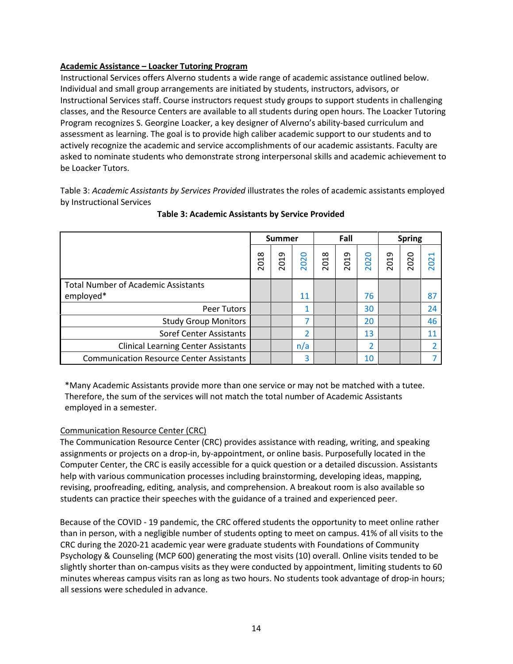## **Academic Assistance – Loacker Tutoring Program**

Instructional Services offers Alverno students a wide range of academic assistance outlined below. Individual and small group arrangements are initiated by students, instructors, advisors, or Instructional Services staff. Course instructors request study groups to support students in challenging classes, and the Resource Centers are available to all students during open hours. The Loacker Tutoring Program recognizes S. Georgine Loacker, a key designer of Alverno's ability-based curriculum and assessment as learning. The goal is to provide high caliber academic support to our students and to actively recognize the academic and service accomplishments of our academic assistants. Faculty are asked to nominate students who demonstrate strong interpersonal skills and academic achievement to be Loacker Tutors.

Table 3: *Academic Assistants by Services Provided* illustrates the roles of academic assistants employed by Instructional Services

|                                                 |                         | <b>Summer</b>    |          |      | Fall |          | <b>Spring</b> |      |          |
|-------------------------------------------------|-------------------------|------------------|----------|------|------|----------|---------------|------|----------|
|                                                 | $\infty$<br>Š<br>$\sim$ | თ<br>ā<br>$\sim$ | 0<br>202 | 2018 | 2019 | 0<br>202 | 2019          | 2020 | H<br>202 |
| <b>Total Number of Academic Assistants</b>      |                         |                  |          |      |      |          |               |      |          |
| employed*                                       |                         |                  | 11       |      |      | 76       |               |      | 87       |
| Peer Tutors                                     |                         |                  | 1        |      |      | 30       |               |      | 24       |
| <b>Study Group Monitors</b>                     |                         |                  | 7        |      |      | 20       |               |      | 46       |
| Soref Center Assistants                         |                         |                  | 2        |      |      | 13       |               |      | 11       |
| <b>Clinical Learning Center Assistants</b>      |                         |                  | n/a      |      |      | ว        |               |      |          |
| <b>Communication Resource Center Assistants</b> |                         |                  | 3        |      |      | 10       |               |      |          |

### **Table 3: Academic Assistants by Service Provided**

\*Many Academic Assistants provide more than one service or may not be matched with a tutee. Therefore, the sum of the services will not match the total number of Academic Assistants employed in a semester.

### Communication Resource Center (CRC)

The Communication Resource Center (CRC) provides assistance with reading, writing, and speaking assignments or projects on a drop-in, by-appointment, or online basis. Purposefully located in the Computer Center, the CRC is easily accessible for a quick question or a detailed discussion. Assistants help with various communication processes including brainstorming, developing ideas, mapping, revising, proofreading, editing, analysis, and comprehension. A breakout room is also available so students can practice their speeches with the guidance of a trained and experienced peer.

Because of the COVID - 19 pandemic, the CRC offered students the opportunity to meet online rather than in person, with a negligible number of students opting to meet on campus. 41% of all visits to the CRC during the 2020-21 academic year were graduate students with Foundations of Community Psychology & Counseling (MCP 600) generating the most visits (10) overall. Online visits tended to be slightly shorter than on-campus visits as they were conducted by appointment, limiting students to 60 minutes whereas campus visits ran as long as two hours. No students took advantage of drop-in hours; all sessions were scheduled in advance.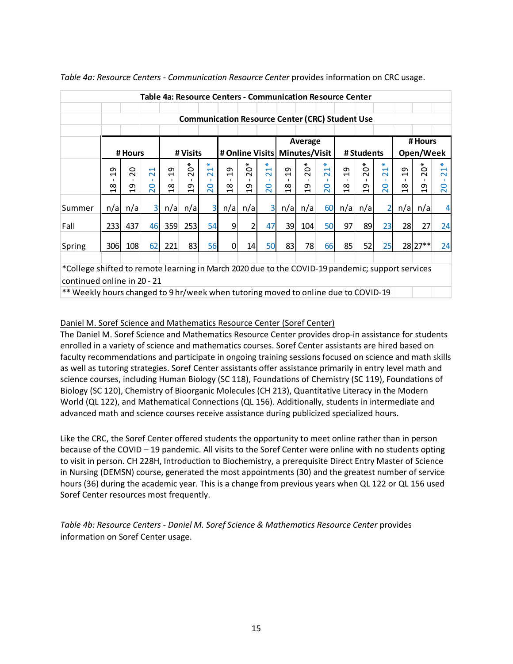|                                                                                                  | Table 4a: Resource Centers - Communication Resource Center                                                                                                                                                                                                                                                                                                                                                                                                                             |                |                |                                         |                |         |                                                        |                |        |                                         |                |                                         |                                         |                              |                                    |                |                                         |         |
|--------------------------------------------------------------------------------------------------|----------------------------------------------------------------------------------------------------------------------------------------------------------------------------------------------------------------------------------------------------------------------------------------------------------------------------------------------------------------------------------------------------------------------------------------------------------------------------------------|----------------|----------------|-----------------------------------------|----------------|---------|--------------------------------------------------------|----------------|--------|-----------------------------------------|----------------|-----------------------------------------|-----------------------------------------|------------------------------|------------------------------------|----------------|-----------------------------------------|---------|
|                                                                                                  |                                                                                                                                                                                                                                                                                                                                                                                                                                                                                        |                |                |                                         |                |         |                                                        |                |        |                                         |                |                                         |                                         |                              |                                    |                |                                         |         |
|                                                                                                  |                                                                                                                                                                                                                                                                                                                                                                                                                                                                                        |                |                |                                         |                |         | <b>Communication Resource Center (CRC) Student Use</b> |                |        |                                         |                |                                         |                                         |                              |                                    |                |                                         |         |
|                                                                                                  |                                                                                                                                                                                                                                                                                                                                                                                                                                                                                        |                |                |                                         |                |         |                                                        |                |        |                                         |                |                                         |                                         |                              |                                    |                |                                         |         |
|                                                                                                  |                                                                                                                                                                                                                                                                                                                                                                                                                                                                                        |                |                |                                         |                |         |                                                        |                |        |                                         | Average        |                                         |                                         |                              |                                    |                | # Hours                                 |         |
|                                                                                                  |                                                                                                                                                                                                                                                                                                                                                                                                                                                                                        | # Hours        |                |                                         | # Visits       |         |                                                        |                |        | # Online Visits   Minutes/Visit         |                |                                         |                                         | # Students                   |                                    |                | Open/Week                               |         |
|                                                                                                  | $\ast$<br>*<br>∗<br>∗<br>⋇<br>⋇<br>⋇<br>$\circ$<br>$\circ$<br>0<br>0<br>$\overline{\phantom{0}}$<br>$\overline{\phantom{0}}$<br>ᡡ<br>$\overline{c}$<br>ᡡ<br>20<br>ᡡ<br>$\mathbf{\mathbf{\mathbf{\mathbf{\mathbf{\mathbf{\mathbf{\mathbf{H}}}}}}}$<br>ᡡ<br>$\overline{\phantom{0}}$<br>$\overline{\sim}$<br>$\overline{\sim}$<br>$\overline{\sim}$<br>$\overline{\sim}$<br>$\blacksquare$<br>$\sim$<br>$\blacksquare$<br>$\sim$<br>$\sim$<br>$\blacksquare$<br>$\sim$<br>$\blacksquare$ |                |                |                                         |                |         |                                                        |                |        |                                         |                | ∗<br>$\overline{\phantom{0}}$<br>$\sim$ | ᡡ<br>$\overline{\phantom{0}}$           | ⋇<br>$\circ$<br>$\bar{\sim}$ | $\overline{\phantom{0}}$<br>$\sim$ |                |                                         |         |
|                                                                                                  | $\infty$                                                                                                                                                                                                                                                                                                                                                                                                                                                                               | ᡡ              | $\circ$        | $\infty$                                | თ              | $\circ$ | $\infty$                                               |                | 0      | $\infty$                                | თ              | 0                                       | $\infty$                                |                              | $\circ$                            | $\infty$       | ᡡ                                       | $\circ$ |
|                                                                                                  | $\blacksquare$                                                                                                                                                                                                                                                                                                                                                                                                                                                                         | $\blacksquare$ | $\sim$         | $\mathbf{\mathbf{\mathbf{\mathsf{H}}}}$ | $\blacksquare$ | $\sim$  | $\ddot{\phantom{1}}$                                   | $\overline{c}$ | $\sim$ | $\mathbf{\mathbf{\mathbf{\mathsf{H}}}}$ | $\blacksquare$ | $\sim$                                  | $\mathbf{\mathbf{\mathbf{\mathsf{H}}}}$ | $\overline{c}$               | $\sim$                             | $\blacksquare$ | $\mathbf{\mathbf{\mathbf{\mathsf{H}}}}$ | $\sim$  |
| Summer                                                                                           | n/a                                                                                                                                                                                                                                                                                                                                                                                                                                                                                    | n/a            | $\overline{3}$ | n/a                                     | n/a            | 3       | n/a                                                    | n/a            | 3      | n/a                                     | n/a            | 60                                      | n/a                                     | n/a                          | 2                                  | n/a            | n/a                                     | 4       |
| Fall                                                                                             | <b>2331</b>                                                                                                                                                                                                                                                                                                                                                                                                                                                                            | 437            | 46             | <b>359</b>                              | 253            | 54      | $\vert 9 \vert$                                        |                | 47     | 39                                      | 104            | 50                                      | 97                                      | 89                           | 23                                 | 28             | 27                                      | 24      |
| Spring                                                                                           | 306                                                                                                                                                                                                                                                                                                                                                                                                                                                                                    | 108            | 62             | 221                                     | 83             | 56      | 0                                                      | 14             | 50     | 83                                      | 78             | 66                                      | 85                                      | 52                           | 25                                 |                | 28 27**                                 | 24      |
|                                                                                                  |                                                                                                                                                                                                                                                                                                                                                                                                                                                                                        |                |                |                                         |                |         |                                                        |                |        |                                         |                |                                         |                                         |                              |                                    |                |                                         |         |
| *College shifted to remote learning in March 2020 due to the COVID-19 pandemic; support services |                                                                                                                                                                                                                                                                                                                                                                                                                                                                                        |                |                |                                         |                |         |                                                        |                |        |                                         |                |                                         |                                         |                              |                                    |                |                                         |         |
| continued online in 20 - 21                                                                      |                                                                                                                                                                                                                                                                                                                                                                                                                                                                                        |                |                |                                         |                |         |                                                        |                |        |                                         |                |                                         |                                         |                              |                                    |                |                                         |         |
|                                                                                                  | ** Weekly hours changed to 9 hr/week when tutoring moved to online due to COVID-19                                                                                                                                                                                                                                                                                                                                                                                                     |                |                |                                         |                |         |                                                        |                |        |                                         |                |                                         |                                         |                              |                                    |                |                                         |         |

*Table 4a: Resource Centers - Communication Resource Center* provides information on CRC usage.

## Daniel M. Soref Science and Mathematics Resource Center (Soref Center)

The Daniel M. Soref Science and Mathematics Resource Center provides drop-in assistance for students enrolled in a variety of science and mathematics courses. Soref Center assistants are hired based on faculty recommendations and participate in ongoing training sessions focused on science and math skills as well as tutoring strategies. Soref Center assistants offer assistance primarily in entry level math and science courses, including Human Biology (SC 118), Foundations of Chemistry (SC 119), Foundations of Biology (SC 120), Chemistry of Bioorganic Molecules (CH 213), Quantitative Literacy in the Modern World (QL 122), and Mathematical Connections (QL 156). Additionally, students in intermediate and advanced math and science courses receive assistance during publicized specialized hours.

Like the CRC, the Soref Center offered students the opportunity to meet online rather than in person because of the COVID – 19 pandemic. All visits to the Soref Center were online with no students opting to visit in person. CH 228H, Introduction to Biochemistry, a prerequisite Direct Entry Master of Science in Nursing (DEMSN) course, generated the most appointments (30) and the greatest number of service hours (36) during the academic year. This is a change from previous years when QL 122 or QL 156 used Soref Center resources most frequently.

*Table 4b: Resource Centers - Daniel M. Soref Science & Mathematics Resource Center* provides information on Soref Center usage.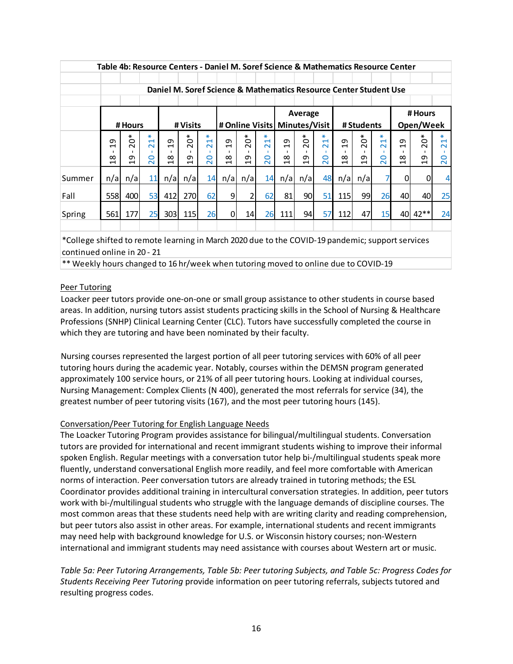|        |                                                                                   |                                          |                                                                                                               |                                                             | Table 4b: Resource Centers - Daniel M. Soref Science & Mathematics Resource Center |                                                        |                                                   |                                          |                                                              |                                                   |                                               |                                                                                                          |                                                   |                                         |                                                        |                                                   |                                          |                                                                                                      |
|--------|-----------------------------------------------------------------------------------|------------------------------------------|---------------------------------------------------------------------------------------------------------------|-------------------------------------------------------------|------------------------------------------------------------------------------------|--------------------------------------------------------|---------------------------------------------------|------------------------------------------|--------------------------------------------------------------|---------------------------------------------------|-----------------------------------------------|----------------------------------------------------------------------------------------------------------|---------------------------------------------------|-----------------------------------------|--------------------------------------------------------|---------------------------------------------------|------------------------------------------|------------------------------------------------------------------------------------------------------|
|        |                                                                                   |                                          |                                                                                                               |                                                             | Daniel M. Soref Science & Mathematics Resource Center Student Use                  |                                                        |                                                   |                                          |                                                              |                                                   |                                               |                                                                                                          |                                                   |                                         |                                                        |                                                   |                                          |                                                                                                      |
|        | Average<br># Online Visits   Minutes/Visit  <br># Visits<br># Students<br># Hours |                                          |                                                                                                               |                                                             |                                                                                    |                                                        |                                                   |                                          |                                                              |                                                   |                                               | # Hours<br>Open/Week                                                                                     |                                                   |                                         |                                                        |                                                   |                                          |                                                                                                      |
|        | თ<br>$\blacksquare$<br>$\infty$<br>$\overline{\phantom{0}}$                       | $\circ$<br>$\sim$<br>თ<br>$\blacksquare$ | $\ast$<br>$\mathbf{\mathbf{\mathbf{\mathbf{\mathbf{\mathbf{\mathbf{\mathbf{H}}}}}}}$<br>$\sim$<br>0<br>$\sim$ | ᡡ<br>$\blacksquare$<br>$\infty$<br>$\overline{\phantom{0}}$ | $\circ$<br>$\sim$<br>თ<br>$\blacksquare$                                           | ₩<br>$\overline{\phantom{0}}$<br>$\sim$<br>0<br>$\sim$ | ᡡ<br>$\blacksquare$<br>$\infty$<br>$\blacksquare$ | $\circ$<br>$\sim$<br>თ<br>$\blacksquare$ | ₩<br>$\overline{\phantom{0}}$<br>$\sim$<br>$\circ$<br>$\sim$ | თ<br>$\blacksquare$<br>$\infty$<br>$\blacksquare$ | *<br>$\circ$<br>$\sim$<br>თ<br>$\blacksquare$ | ∗<br>$\mathbf{\mathbf{\mathbf{\mathbf{\mathbf{\mathbf{\mathbf{\mathbf{H}}}}}}}$<br>$\sim$<br>0<br>$\sim$ | თ<br>$\blacksquare$<br>$\infty$<br>$\blacksquare$ | ∗<br>ة<br>$\sim$<br>თ<br>$\blacksquare$ | ₩<br>$\overline{\phantom{0}}$<br>$\sim$<br>O<br>$\sim$ | ᡡ<br>$\blacksquare$<br>$\infty$<br>$\blacksquare$ | $\circ$<br>$\sim$<br>თ<br>$\blacksquare$ | $\ast$<br>$\mathbf{\mathbf{\mathbf{\mathbf{\mathbf{\mathbf{\mathbf{\mathbf{H}}}}}}}$<br>$\sim$<br>20 |
| Summer | n/a                                                                               | n/a                                      | 11                                                                                                            | n/a                                                         | n/a                                                                                | 14                                                     | n/a                                               | n/a                                      | 14                                                           | n/a                                               | n/a                                           | 48                                                                                                       | n/a                                               | n/a                                     | 7                                                      | 0                                                 | <sub>0</sub>                             | $\overline{4}$                                                                                       |
| Fall   | 558l                                                                              | 400                                      | 53                                                                                                            | 412                                                         | <b>270</b>                                                                         | 62                                                     | 9                                                 | 2                                        | 62                                                           | 81                                                | 90                                            | 51                                                                                                       | <b>115</b>                                        | 99                                      | 26                                                     | 40                                                | 40I                                      | 25                                                                                                   |
| Spring | 561                                                                               | 177                                      | 25                                                                                                            | 303                                                         | 115                                                                                | 26                                                     | $\Omega$                                          | 14                                       | 26                                                           | 111                                               | 94                                            | 57                                                                                                       | 112                                               | 47                                      | 15                                                     | 40                                                | $42**$                                   | 24                                                                                                   |

\*College shifted to remote learning in March 2020 due to the COVID-19 pandemic; support services continued online in 20 - 21

\*\* Weekly hours changed to 16 hr/week when tutoring moved to online due to COVID-19

### Peer Tutoring

Loacker peer tutors provide one-on-one or small group assistance to other students in course based areas. In addition, nursing tutors assist students practicing skills in the School of Nursing & Healthcare Professions (SNHP) Clinical Learning Center (CLC). Tutors have successfully completed the course in which they are tutoring and have been nominated by their faculty.

Nursing courses represented the largest portion of all peer tutoring services with 60% of all peer tutoring hours during the academic year. Notably, courses within the DEMSN program generated approximately 100 service hours, or 21% of all peer tutoring hours. Looking at individual courses, Nursing Management: Complex Clients (N 400), generated the most referrals for service (34), the greatest number of peer tutoring visits (167), and the most peer tutoring hours (145).

### Conversation/Peer Tutoring for English Language Needs

The Loacker Tutoring Program provides assistance for bilingual/multilingual students. Conversation tutors are provided for international and recent immigrant students wishing to improve their informal spoken English. Regular meetings with a conversation tutor help bi-/multilingual students speak more fluently, understand conversational English more readily, and feel more comfortable with American norms of interaction. Peer conversation tutors are already trained in tutoring methods; the ESL Coordinator provides additional training in intercultural conversation strategies. In addition, peer tutors work with bi-/multilingual students who struggle with the language demands of discipline courses. The most common areas that these students need help with are writing clarity and reading comprehension, but peer tutors also assist in other areas. For example, international students and recent immigrants may need help with background knowledge for U.S. or Wisconsin history courses; non-Western international and immigrant students may need assistance with courses about Western art or music.

*Table 5a: Peer Tutoring Arrangements, Table 5b: Peer tutoring Subjects, and Table 5c: Progress Codes for Students Receiving Peer Tutoring* provide information on peer tutoring referrals, subjects tutored and resulting progress codes.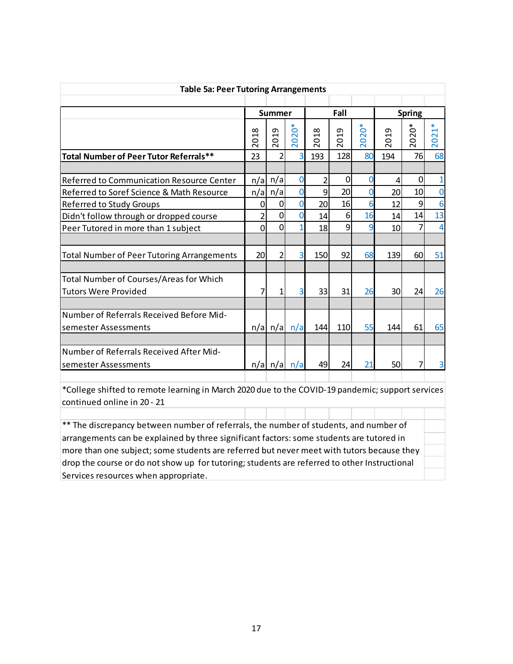| <b>Table 5a: Peer Tutoring Arrangements</b>       |                                                          |                                     |                                                       |                                         |                                             |                                         |                                   |                                            |                                                                 |  |  |  |
|---------------------------------------------------|----------------------------------------------------------|-------------------------------------|-------------------------------------------------------|-----------------------------------------|---------------------------------------------|-----------------------------------------|-----------------------------------|--------------------------------------------|-----------------------------------------------------------------|--|--|--|
|                                                   |                                                          |                                     |                                                       |                                         |                                             |                                         |                                   |                                            |                                                                 |  |  |  |
|                                                   |                                                          | Summer                              |                                                       |                                         | Fall                                        |                                         |                                   | <b>Spring</b>                              |                                                                 |  |  |  |
|                                                   | ∞<br>$\overline{\phantom{0}}$<br>$\circ$<br>$\bar{\sim}$ | თ<br>$\overline{\phantom{0}}$<br>20 | $\circ$<br>$\overline{\mathbf{C}}$<br>$\overline{20}$ | $\infty$<br>$\vec{ }$<br>$\overline{0}$ | თ<br>$\tilde{t}$<br>$\circ$<br>$\bar{\sim}$ | ⋇<br>Ő<br>$\mathbf 2$<br>$\overline{0}$ | თ<br>H<br>$\circ$<br>$\bar{\sim}$ | ្លុ<br>$\overline{\sim}$<br>$\overline{5}$ | $\ast$<br>$\overline{\phantom{0}}$<br>$\sim$<br>$\overline{20}$ |  |  |  |
| Total Number of Peer Tutor Referrals**            | 23                                                       | $\overline{2}$                      | 3                                                     | 193                                     | 128                                         | 80                                      | 194                               | 76                                         | 68                                                              |  |  |  |
|                                                   |                                                          |                                     |                                                       |                                         |                                             |                                         |                                   |                                            |                                                                 |  |  |  |
| Referred to Communication Resource Center         | n/a                                                      | n/a                                 | $\mathbf 0$                                           | 2                                       | 0                                           | $\mathbf 0$                             | 4                                 | $\Omega$                                   | $\mathbf{1}$                                                    |  |  |  |
| Referred to Soref Science & Math Resource         | n/a                                                      | n/a                                 | $\Omega$                                              | 9                                       | 20                                          | $\Omega$                                | 20                                | 10                                         | 0                                                               |  |  |  |
| <b>Referred to Study Groups</b>                   | 0                                                        | 0                                   | $\overline{0}$                                        | 20                                      | 16                                          | 6                                       | 12                                | 9                                          | 6                                                               |  |  |  |
| Didn't follow through or dropped course           | $\overline{2}$                                           | 0                                   | 0                                                     | 14                                      | 6                                           | 16                                      | 14                                | 14                                         | 13                                                              |  |  |  |
| Peer Tutored in more than 1 subject               | $\overline{0}$                                           | 0                                   |                                                       | 18                                      | 9                                           | 9                                       | 10                                | 7                                          | 4                                                               |  |  |  |
|                                                   |                                                          |                                     |                                                       |                                         |                                             |                                         |                                   |                                            |                                                                 |  |  |  |
| <b>Total Number of Peer Tutoring Arrangements</b> | 20                                                       | 2                                   | 3                                                     | 150                                     | 92                                          | 68                                      | 139                               | 60                                         | 51                                                              |  |  |  |
|                                                   |                                                          |                                     |                                                       |                                         |                                             |                                         |                                   |                                            |                                                                 |  |  |  |
| Total Number of Courses/Areas for Which           |                                                          |                                     |                                                       |                                         |                                             |                                         |                                   |                                            |                                                                 |  |  |  |
| Tutors Were Provided                              |                                                          |                                     | 3                                                     | 33                                      | 31                                          | 26                                      | 30                                | 24                                         | 26                                                              |  |  |  |
|                                                   |                                                          |                                     |                                                       |                                         |                                             |                                         |                                   |                                            |                                                                 |  |  |  |
| Number of Referrals Received Before Mid-          |                                                          |                                     |                                                       |                                         |                                             |                                         |                                   |                                            |                                                                 |  |  |  |
| semester Assessments                              |                                                          | $n/a$ $n/a$                         | n/a                                                   | 144                                     | 110                                         | 55                                      | 144                               | 61                                         | 65                                                              |  |  |  |
|                                                   |                                                          |                                     |                                                       |                                         |                                             |                                         |                                   |                                            |                                                                 |  |  |  |
| Number of Referrals Received After Mid-           |                                                          |                                     |                                                       |                                         |                                             |                                         |                                   |                                            |                                                                 |  |  |  |
| semester Assessments                              |                                                          | $n/a$   n/a                         | n/a                                                   | 49                                      | 24                                          | 21                                      | 50                                | 7                                          | 3                                                               |  |  |  |
|                                                   |                                                          |                                     |                                                       |                                         |                                             |                                         |                                   |                                            |                                                                 |  |  |  |

\*College shifted to remote learning in March 2020 due to the COVID-19 pandemic; support services continued online in 20 - 21

\*\* The discrepancy between number of referrals, the number of students, and number of arrangements can be explained by three significant factors: some students are tutored in more than one subject; some students are referred but never meet with tutors because they drop the course or do not show up for tutoring; students are referred to other Instructional Services resources when appropriate.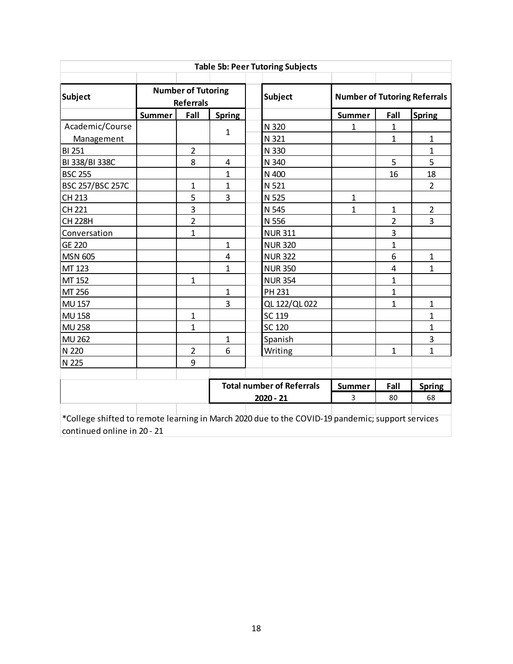| <b>Table 5b: Peer Tutoring Subjects</b> |                                                                                                  |                                               |                         |                                  |                                     |                |                |  |  |  |  |  |
|-----------------------------------------|--------------------------------------------------------------------------------------------------|-----------------------------------------------|-------------------------|----------------------------------|-------------------------------------|----------------|----------------|--|--|--|--|--|
| <b>Subject</b>                          |                                                                                                  | <b>Number of Tutoring</b><br><b>Referrals</b> |                         | <b>Subject</b>                   | <b>Number of Tutoring Referrals</b> |                |                |  |  |  |  |  |
|                                         | <b>Summer</b>                                                                                    | Fall                                          | <b>Spring</b>           |                                  | <b>Summer</b>                       | Fall           | <b>Spring</b>  |  |  |  |  |  |
| Academic/Course                         |                                                                                                  |                                               | 1                       | N 320                            | $\mathbf{1}$                        | $\mathbf{1}$   |                |  |  |  |  |  |
| Management                              |                                                                                                  |                                               |                         | N 321                            |                                     | $\mathbf{1}$   | $\mathbf{1}$   |  |  |  |  |  |
| <b>BI 251</b>                           |                                                                                                  | $\overline{2}$                                |                         | N 330                            |                                     |                | $\mathbf{1}$   |  |  |  |  |  |
| BI 338/BI 338C                          |                                                                                                  | 8                                             | 4                       | N 340                            |                                     | 5              | 5              |  |  |  |  |  |
| <b>BSC 255</b>                          |                                                                                                  |                                               | $\mathbf{1}$            | N 400                            |                                     | 16             | 18             |  |  |  |  |  |
| <b>BSC 257/BSC 257C</b>                 |                                                                                                  | $\mathbf{1}$                                  | $\mathbf 1$             | N 521                            |                                     |                | $\overline{2}$ |  |  |  |  |  |
| CH 213                                  |                                                                                                  | 5                                             | 3                       | N 525                            | $\mathbf{1}$                        |                |                |  |  |  |  |  |
| CH 221                                  |                                                                                                  | 3                                             |                         | N 545                            | $\mathbf{1}$                        | $\mathbf{1}$   | $\overline{2}$ |  |  |  |  |  |
| <b>CH 228H</b>                          |                                                                                                  | $\overline{2}$                                |                         | N 556                            |                                     | $\overline{2}$ | $\overline{3}$ |  |  |  |  |  |
| Conversation                            |                                                                                                  | $\mathbf{1}$                                  |                         | <b>NUR 311</b>                   |                                     | 3              |                |  |  |  |  |  |
| <b>GE 220</b>                           |                                                                                                  |                                               | 1                       | <b>NUR 320</b>                   |                                     | $\mathbf{1}$   |                |  |  |  |  |  |
| <b>MSN 605</b>                          |                                                                                                  |                                               | $\overline{\mathbf{4}}$ | <b>NUR 322</b>                   |                                     | 6              | $\mathbf{1}$   |  |  |  |  |  |
| MT 123                                  |                                                                                                  |                                               | $\mathbf 1$             | <b>NUR 350</b>                   |                                     | 4              | $\mathbf{1}$   |  |  |  |  |  |
| MT 152                                  |                                                                                                  | 1                                             |                         | <b>NUR 354</b>                   |                                     | $\mathbf{1}$   |                |  |  |  |  |  |
| MT 256                                  |                                                                                                  |                                               | $\mathbf{1}$            | PH 231                           |                                     | $\mathbf{1}$   |                |  |  |  |  |  |
| <b>MU 157</b>                           |                                                                                                  |                                               | 3                       | QL 122/QL 022                    |                                     | $\mathbf{1}$   | $\mathbf 1$    |  |  |  |  |  |
| <b>MU 158</b>                           |                                                                                                  | $\mathbf{1}$                                  |                         | SC 119                           |                                     |                | $\mathbf{1}$   |  |  |  |  |  |
| <b>MU 258</b>                           |                                                                                                  | $\overline{1}$                                |                         | <b>SC 120</b>                    |                                     |                | $\mathbf{1}$   |  |  |  |  |  |
| <b>MU 262</b>                           |                                                                                                  |                                               | 1                       | Spanish                          |                                     |                | 3              |  |  |  |  |  |
| N 220                                   |                                                                                                  | $\overline{2}$                                | 6                       | Writing                          |                                     | $\mathbf{1}$   | $\mathbf{1}$   |  |  |  |  |  |
| N 225                                   |                                                                                                  | 9                                             |                         |                                  |                                     |                |                |  |  |  |  |  |
|                                         |                                                                                                  |                                               |                         | <b>Total number of Referrals</b> | <b>Summer</b>                       | Fall           | <b>Spring</b>  |  |  |  |  |  |
|                                         |                                                                                                  |                                               |                         | 2020 - 21                        | 3                                   | 80             | 68             |  |  |  |  |  |
|                                         | *College shifted to remote learning in March 2020 due to the COVID-19 pandemic; support services |                                               |                         |                                  |                                     |                |                |  |  |  |  |  |

continued online in 20 - 21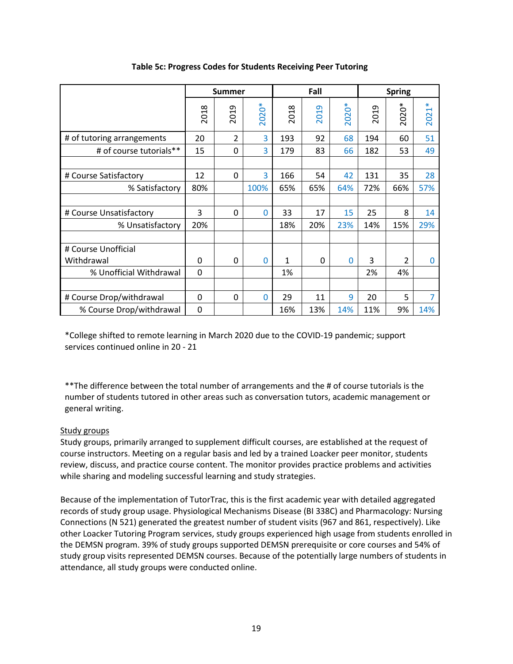|                            |                        | <b>Summer</b>   |                |      | Fall     |           |          | <b>Spring</b> |                |
|----------------------------|------------------------|-----------------|----------------|------|----------|-----------|----------|---------------|----------------|
|                            | $\infty$<br><b>201</b> | ᡡ<br><b>201</b> | $\ast$<br>2020 | 2018 | ത<br>201 | ⋇<br>2020 | ᡡ<br>201 | 2020*         | $\ast$<br>2021 |
| # of tutoring arrangements | 20                     | 2               | 3              | 193  | 92       | 68        | 194      | 60            | 51             |
| # of course tutorials**    | 15                     | 0               | 3              | 179  | 83       | 66        | 182      | 53            | 49             |
|                            |                        |                 |                |      |          |           |          |               |                |
| # Course Satisfactory      | 12                     | 0               | 3              | 166  | 54       | 42        | 131      | 35            | 28             |
| % Satisfactory             | 80%                    |                 | 100%           | 65%  | 65%      | 64%       | 72%      | 66%           | 57%            |
|                            |                        |                 |                |      |          |           |          |               |                |
| # Course Unsatisfactory    | 3                      | 0               | 0              | 33   | 17       | 15        | 25       | 8             | 14             |
| % Unsatisfactory           | 20%                    |                 |                | 18%  | 20%      | 23%       | 14%      | 15%           | 29%            |
|                            |                        |                 |                |      |          |           |          |               |                |
| # Course Unofficial        |                        |                 |                |      |          |           |          |               |                |
| Withdrawal                 | 0                      | 0               | 0              | 1    | 0        | $\Omega$  | 3        | $\mathcal{P}$ | 0              |
| % Unofficial Withdrawal    | 0                      |                 |                | 1%   |          |           | 2%       | 4%            |                |
|                            |                        |                 |                |      |          |           |          |               |                |
| # Course Drop/withdrawal   | 0                      | 0               | 0              | 29   | 11       | 9         | 20       | 5             | 7              |
| % Course Drop/withdrawal   | 0                      |                 |                | 16%  | 13%      | 14%       | 11%      | 9%            | 14%            |

## **Table 5c: Progress Codes for Students Receiving Peer Tutoring**

\*College shifted to remote learning in March 2020 due to the COVID-19 pandemic; support services continued online in 20 - 21

\*\*The difference between the total number of arrangements and the # of course tutorials is the number of students tutored in other areas such as conversation tutors, academic management or general writing.

## Study groups

Study groups, primarily arranged to supplement difficult courses, are established at the request of course instructors. Meeting on a regular basis and led by a trained Loacker peer monitor, students review, discuss, and practice course content. The monitor provides practice problems and activities while sharing and modeling successful learning and study strategies.

Because of the implementation of TutorTrac, this is the first academic year with detailed aggregated records of study group usage. Physiological Mechanisms Disease (BI 338C) and Pharmacology: Nursing Connections (N 521) generated the greatest number of student visits (967 and 861, respectively). Like other Loacker Tutoring Program services, study groups experienced high usage from students enrolled in the DEMSN program. 39% of study groups supported DEMSN prerequisite or core courses and 54% of study group visits represented DEMSN courses. Because of the potentially large numbers of students in attendance, all study groups were conducted online.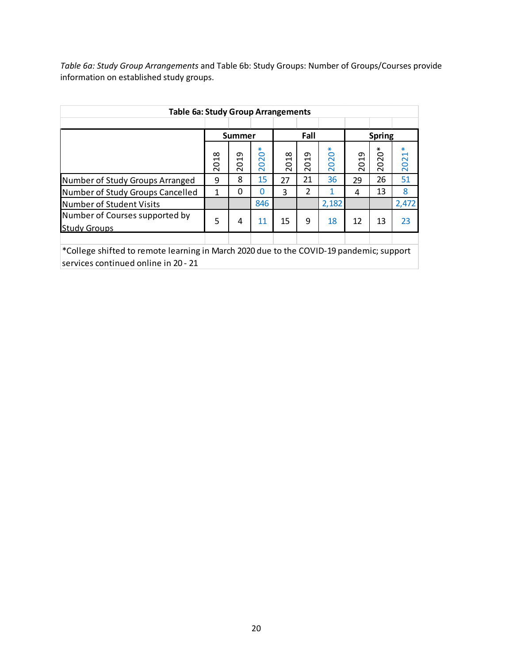*Table 6a: Study Group Arrangements* and Table 6b: Study Groups: Number of Groups/Courses provide information on established study groups.

| <b>Table 6a: Study Group Arrangements</b>                                                                                       |          |                                                          |                                                |      |                |                                                              |      |                                        |           |  |  |
|---------------------------------------------------------------------------------------------------------------------------------|----------|----------------------------------------------------------|------------------------------------------------|------|----------------|--------------------------------------------------------------|------|----------------------------------------|-----------|--|--|
|                                                                                                                                 |          | Summer                                                   |                                                |      | Fall           |                                                              |      | <b>Spring</b>                          |           |  |  |
|                                                                                                                                 | ∞<br>201 | თ<br>$\mathbf{\mathbf{\mathsf{H}}}$<br>$\circ$<br>$\sim$ | ⋇<br>$\circ$<br>2 <sub>a</sub><br>$\bar{\sim}$ | 2018 | თ<br>201       | ⋇<br>$\circ$<br>$\overline{\mathsf{C}}$<br>$\circ$<br>$\sim$ | 2019 | $\mathring{\circ}$<br>2<br>O<br>$\sim$ | ⋇<br>2021 |  |  |
| Number of Study Groups Arranged                                                                                                 | 9        | 8                                                        | 15                                             | 27   | 21             | 36                                                           | 29   | 26                                     | 51        |  |  |
| Number of Study Groups Cancelled                                                                                                | 1        | $\Omega$                                                 | 0                                              | 3    | $\overline{2}$ |                                                              | 4    | 13                                     | 8         |  |  |
| Number of Student Visits                                                                                                        |          |                                                          | 846                                            |      |                | 2,182                                                        |      |                                        | 2,472     |  |  |
| Number of Courses supported by<br><b>Study Groups</b>                                                                           | 5        | 4                                                        | 11                                             | 15   | 9              | 18                                                           | 12   | 13                                     | 23        |  |  |
|                                                                                                                                 |          |                                                          |                                                |      |                |                                                              |      |                                        |           |  |  |
| *College shifted to remote learning in March 2020 due to the COVID-19 pandemic; support<br>services continued online in 20 - 21 |          |                                                          |                                                |      |                |                                                              |      |                                        |           |  |  |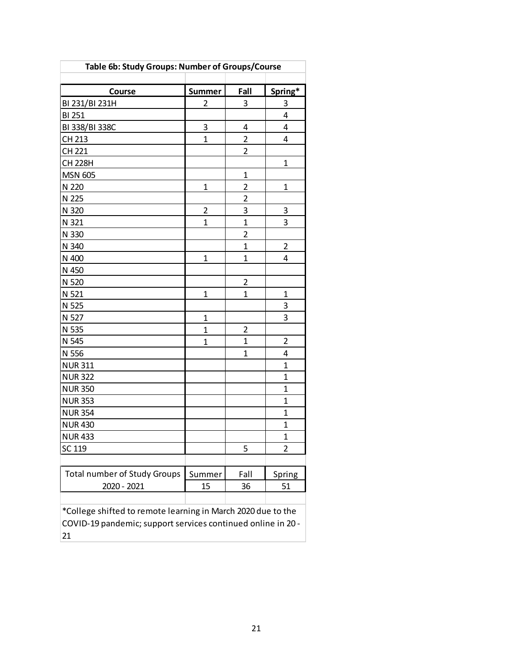| Table 6b: Study Groups: Number of Groups/Course                                                                                    |                |                         |                |  |  |  |  |  |  |  |  |  |
|------------------------------------------------------------------------------------------------------------------------------------|----------------|-------------------------|----------------|--|--|--|--|--|--|--|--|--|
|                                                                                                                                    |                |                         |                |  |  |  |  |  |  |  |  |  |
| Course                                                                                                                             | Summer         | Fall                    | Spring*        |  |  |  |  |  |  |  |  |  |
| BI 231/BI 231H                                                                                                                     | $\overline{2}$ | 3                       | 3              |  |  |  |  |  |  |  |  |  |
| <b>BI 251</b>                                                                                                                      |                |                         | 4              |  |  |  |  |  |  |  |  |  |
| BI 338/BI 338C                                                                                                                     | 3              | 4                       | 4              |  |  |  |  |  |  |  |  |  |
| CH 213                                                                                                                             | $\mathbf 1$    | $\overline{2}$          | 4              |  |  |  |  |  |  |  |  |  |
| CH 221                                                                                                                             |                | $\overline{c}$          |                |  |  |  |  |  |  |  |  |  |
| <b>CH 228H</b>                                                                                                                     |                |                         | $\mathbf 1$    |  |  |  |  |  |  |  |  |  |
| <b>MSN 605</b>                                                                                                                     |                | $\mathbf{1}$            |                |  |  |  |  |  |  |  |  |  |
| N 220                                                                                                                              | $\mathbf 1$    | $\overline{c}$          | $\mathbf 1$    |  |  |  |  |  |  |  |  |  |
| N 225                                                                                                                              |                | $\overline{c}$          |                |  |  |  |  |  |  |  |  |  |
| N 320                                                                                                                              | $\overline{2}$ | 3                       | 3              |  |  |  |  |  |  |  |  |  |
| N 321                                                                                                                              | $\mathbf{1}$   | $\overline{1}$          | 3              |  |  |  |  |  |  |  |  |  |
| N 330                                                                                                                              |                | $\overline{2}$          |                |  |  |  |  |  |  |  |  |  |
| N 340                                                                                                                              |                | $\mathbf{1}$            | 2              |  |  |  |  |  |  |  |  |  |
| N 400                                                                                                                              | $\mathbf 1$    | $\overline{1}$          | 4              |  |  |  |  |  |  |  |  |  |
| N 450                                                                                                                              |                |                         |                |  |  |  |  |  |  |  |  |  |
| N 520<br>2                                                                                                                         |                |                         |                |  |  |  |  |  |  |  |  |  |
| N 521                                                                                                                              | $\mathbf 1$    | $\overline{1}$          | $\mathbf 1$    |  |  |  |  |  |  |  |  |  |
| N 525                                                                                                                              |                |                         | $\overline{3}$ |  |  |  |  |  |  |  |  |  |
| N 527                                                                                                                              | $\mathbf 1$    |                         | 3              |  |  |  |  |  |  |  |  |  |
| N 535                                                                                                                              | $\mathbf{1}$   | $\overline{\mathbf{c}}$ |                |  |  |  |  |  |  |  |  |  |
| N 545                                                                                                                              | $\mathbf 1$    | $\mathbf{1}$            | $\overline{2}$ |  |  |  |  |  |  |  |  |  |
| N 556                                                                                                                              |                | $\mathbf{1}$            | 4              |  |  |  |  |  |  |  |  |  |
| <b>NUR 311</b>                                                                                                                     |                |                         | $\mathbf{1}$   |  |  |  |  |  |  |  |  |  |
| <b>NUR 322</b>                                                                                                                     |                |                         | $\overline{1}$ |  |  |  |  |  |  |  |  |  |
| <b>NUR 350</b>                                                                                                                     |                |                         | $\overline{1}$ |  |  |  |  |  |  |  |  |  |
| <b>NUR 353</b>                                                                                                                     |                |                         | $\mathbf{1}$   |  |  |  |  |  |  |  |  |  |
| <b>NUR 354</b>                                                                                                                     |                |                         | $\mathbf{1}$   |  |  |  |  |  |  |  |  |  |
| <b>NUR430</b>                                                                                                                      |                |                         | $\mathbf 1$    |  |  |  |  |  |  |  |  |  |
| <b>NUR433</b>                                                                                                                      |                |                         | $\overline{1}$ |  |  |  |  |  |  |  |  |  |
| $\overline{2}$<br>SC 119<br>5                                                                                                      |                |                         |                |  |  |  |  |  |  |  |  |  |
|                                                                                                                                    |                |                         |                |  |  |  |  |  |  |  |  |  |
| <b>Total number of Study Groups</b>                                                                                                | Summer         | Fall                    | Spring         |  |  |  |  |  |  |  |  |  |
| 2020 - 2021                                                                                                                        | 15             | 36                      | 51             |  |  |  |  |  |  |  |  |  |
|                                                                                                                                    |                |                         |                |  |  |  |  |  |  |  |  |  |
| *College shifted to remote learning in March 2020 due to the<br>COVID-19 pandemic; support services continued online in 20 -<br>21 |                |                         |                |  |  |  |  |  |  |  |  |  |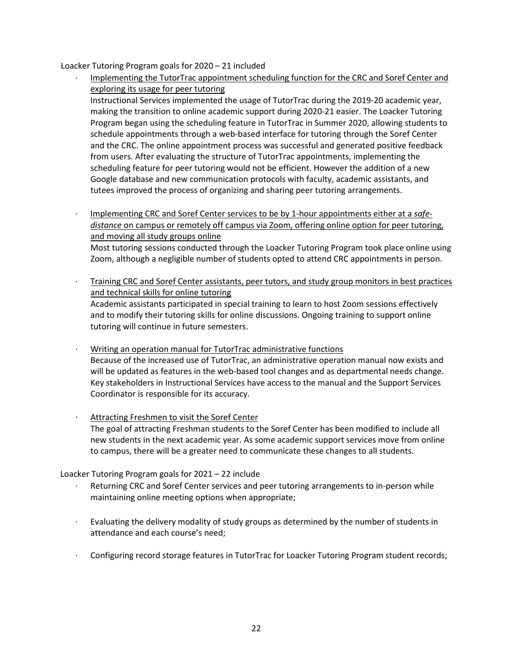Loacker Tutoring Program goals for 2020 – 21 included

- · Implementing the TutorTrac appointment scheduling function for the CRC and Soref Center and exploring its usage for peer tutoring Instructional Services implemented the usage of TutorTrac during the 2019-20 academic year, making the transition to online academic support during 2020-21 easier. The Loacker Tutoring Program began using the scheduling feature in TutorTrac in Summer 2020, allowing students to schedule appointments through a web-based interface for tutoring through the Soref Center and the CRC. The online appointment process was successful and generated positive feedback from users. After evaluating the structure of TutorTrac appointments, implementing the scheduling feature for peer tutoring would not be efficient. However the addition of a new Google database and new communication protocols with faculty, academic assistants, and tutees improved the process of organizing and sharing peer tutoring arrangements.
	- · Implementing CRC and Soref Center services to be by 1-hour appointments either at a *safedistance* on campus or remotely off campus via Zoom, offering online option for peer tutoring, and moving all study groups online
		- Most tutoring sessions conducted through the Loacker Tutoring Program took place online using Zoom, although a negligible number of students opted to attend CRC appointments in person.
- · Training CRC and Soref Center assistants, peer tutors, and study group monitors in best practices and technical skills for online tutoring Academic assistants participated in special training to learn to host Zoom sessions effectively and to modify their tutoring skills for online discussions. Ongoing training to support online tutoring will continue in future semesters.
- · Writing an operation manual for TutorTrac administrative functions Because of the increased use of TutorTrac, an administrative operation manual now exists and will be updated as features in the web-based tool changes and as departmental needs change. Key stakeholders in Instructional Services have access to the manual and the Support Services Coordinator is responsible for its accuracy.
- Attracting Freshmen to visit the Soref Center The goal of attracting Freshman students to the Soref Center has been modified to include all new students in the next academic year. As some academic support services move from online to campus, there will be a greater need to communicate these changes to all students.

Loacker Tutoring Program goals for 2021 – 22 include

- Returning CRC and Soref Center services and peer tutoring arrangements to in-person while maintaining online meeting options when appropriate;
- Evaluating the delivery modality of study groups as determined by the number of students in attendance and each course's need;
- · Configuring record storage features in TutorTrac for Loacker Tutoring Program student records;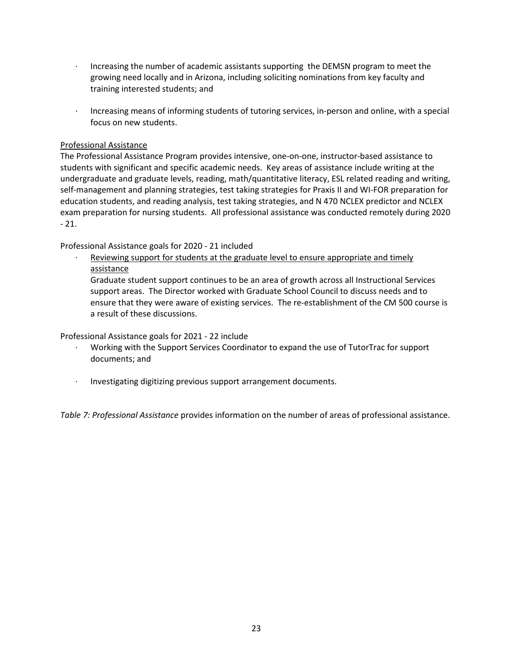- Increasing the number of academic assistants supporting the DEMSN program to meet the growing need locally and in Arizona, including soliciting nominations from key faculty and training interested students; and
- · Increasing means of informing students of tutoring services, in-person and online, with a special focus on new students.

## Professional Assistance

The Professional Assistance Program provides intensive, one-on-one, instructor-based assistance to students with significant and specific academic needs. Key areas of assistance include writing at the undergraduate and graduate levels, reading, math/quantitative literacy, ESL related reading and writing, self-management and planning strategies, test taking strategies for Praxis II and WI-FOR preparation for education students, and reading analysis, test taking strategies, and N 470 NCLEX predictor and NCLEX exam preparation for nursing students. All professional assistance was conducted remotely during 2020  $-21.$ 

## Professional Assistance goals for 2020 - 21 included

Reviewing support for students at the graduate level to ensure appropriate and timely assistance

Graduate student support continues to be an area of growth across all Instructional Services support areas. The Director worked with Graduate School Council to discuss needs and to ensure that they were aware of existing services. The re-establishment of the CM 500 course is a result of these discussions.

Professional Assistance goals for 2021 - 22 include

- · Working with the Support Services Coordinator to expand the use of TutorTrac for support documents; and
- · Investigating digitizing previous support arrangement documents.

*Table 7: Professional Assistance* provides information on the number of areas of professional assistance.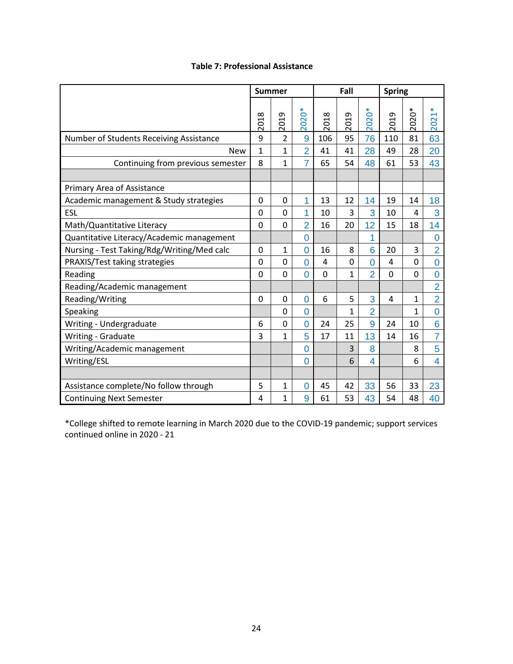|                                            | <b>Summer</b>  |                  |                         |                 | Fall     |                           | <b>Spring</b>           |              |                                      |  |
|--------------------------------------------|----------------|------------------|-------------------------|-----------------|----------|---------------------------|-------------------------|--------------|--------------------------------------|--|
|                                            | ∞<br>ā<br>ನ    | თ<br>ឪ<br>$\sim$ | $\sum_{i=1}^{n}$<br>202 | $\infty$<br>201 | თ<br>201 | $\sigma^*$<br>8<br>$\sim$ | თ<br><b>S</b><br>$\sim$ | Ő<br>202     | ⋇<br>$\overline{\phantom{0}}$<br>202 |  |
| Number of Students Receiving Assistance    | 9              | 2                | 9                       | 106             | 95       | 76                        | 110                     | 81           | 63                                   |  |
| <b>New</b>                                 | $\mathbf{1}$   | $\mathbf{1}$     | $\overline{2}$          | 41              | 41       | 28                        | 49                      | 28           | 20                                   |  |
| Continuing from previous semester          | 8              | $\mathbf{1}$     | $\overline{7}$          | 65              | 54       | 48                        | 61                      | 53           | 43                                   |  |
|                                            |                |                  |                         |                 |          |                           |                         |              |                                      |  |
| Primary Area of Assistance                 |                |                  |                         |                 |          |                           |                         |              |                                      |  |
| Academic management & Study strategies     | 0              | 0                | 1                       | 13              | 12       | 14                        | 19                      | 14           | 18                                   |  |
| <b>ESL</b>                                 | $\overline{0}$ | $\overline{0}$   | 1                       | 10              | 3        | 3                         | 10                      | 4            | 3                                    |  |
| Math/Quantitative Literacy                 | 0              | $\overline{0}$   | $\overline{2}$          | 16              | 20       | 12                        | 15                      | 18           | 14                                   |  |
| Quantitative Literacy/Academic management  |                |                  | $\overline{0}$          |                 |          | 1                         |                         |              | $\overline{0}$                       |  |
| Nursing - Test Taking/Rdg/Writing/Med calc | 0              | $\mathbf{1}$     | $\Omega$                | 16              | 8        | 6                         | 20                      | 3            | $\overline{2}$                       |  |
| PRAXIS/Test taking strategies              | 0              | 0                | $\overline{0}$          | 4               | 0        | 0                         | 4                       | 0            | $\overline{0}$                       |  |
| Reading                                    | 0              | 0                | $\overline{0}$          | $\overline{0}$  | 1        | $\overline{2}$            | $\overline{0}$          | 0            | $\overline{0}$                       |  |
| Reading/Academic management                |                |                  |                         |                 |          |                           |                         |              | $\overline{2}$                       |  |
| Reading/Writing                            | 0              | $\mathbf 0$      | $\overline{0}$          | 6               | 5        | 3                         | 4                       | 1            | $\overline{2}$                       |  |
| Speaking                                   |                | 0                | $\overline{0}$          |                 | 1        | $\overline{2}$            |                         | $\mathbf{1}$ | $\overline{0}$                       |  |
| Writing - Undergraduate                    | 6              | 0                | $\overline{0}$          | 24              | 25       | 9                         | 24                      | 10           | 6                                    |  |
| Writing - Graduate                         | 3              | $\mathbf{1}$     | 5                       | 17              | 11       | 13                        | 14                      | 16           | $\overline{7}$                       |  |
| Writing/Academic management                |                |                  | $\overline{0}$          |                 | 3        | 8                         |                         | 8            | 5                                    |  |
| Writing/ESL                                |                |                  | $\overline{0}$          |                 | 6        | 4                         |                         | 6            | 4                                    |  |
|                                            |                |                  |                         |                 |          |                           |                         |              |                                      |  |
| Assistance complete/No follow through      | 5              | 1                | $\overline{0}$          | 45              | 42       | 33                        | 56                      | 33           | 23                                   |  |
| <b>Continuing Next Semester</b>            | 4              | $\mathbf{1}$     | 9                       | 61              | 53       | 43                        | 54                      | 48           | 40                                   |  |

## **Table 7: Professional Assistance**

\*College shifted to remote learning in March 2020 due to the COVID-19 pandemic; support services continued online in 2020 - 21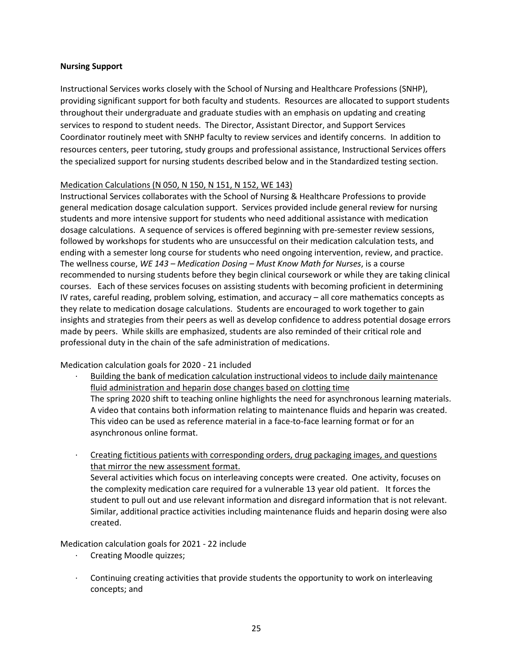#### **Nursing Support**

Instructional Services works closely with the School of Nursing and Healthcare Professions (SNHP), providing significant support for both faculty and students. Resources are allocated to support students throughout their undergraduate and graduate studies with an emphasis on updating and creating services to respond to student needs. The Director, Assistant Director, and Support Services Coordinator routinely meet with SNHP faculty to review services and identify concerns. In addition to resources centers, peer tutoring, study groups and professional assistance, Instructional Services offers the specialized support for nursing students described below and in the Standardized testing section.

#### Medication Calculations (N 050, N 150, N 151, N 152, WE 143)

Instructional Services collaborates with the School of Nursing & Healthcare Professions to provide general medication dosage calculation support. Services provided include general review for nursing students and more intensive support for students who need additional assistance with medication dosage calculations. A sequence of services is offered beginning with pre-semester review sessions, followed by workshops for students who are unsuccessful on their medication calculation tests, and ending with a semester long course for students who need ongoing intervention, review, and practice. The wellness course, *WE 143 – Medication Dosing – Must Know Math for Nurses*, is a course recommended to nursing students before they begin clinical coursework or while they are taking clinical courses. Each of these services focuses on assisting students with becoming proficient in determining IV rates, careful reading, problem solving, estimation, and accuracy – all core mathematics concepts as they relate to medication dosage calculations. Students are encouraged to work together to gain insights and strategies from their peers as well as develop confidence to address potential dosage errors made by peers. While skills are emphasized, students are also reminded of their critical role and professional duty in the chain of the safe administration of medications.

Medication calculation goals for 2020 - 21 included

· Building the bank of medication calculation instructional videos to include daily maintenance fluid administration and heparin dose changes based on clotting time

The spring 2020 shift to teaching online highlights the need for asynchronous learning materials. A video that contains both information relating to maintenance fluids and heparin was created. This video can be used as reference material in a face-to-face learning format or for an asynchronous online format.

· Creating fictitious patients with corresponding orders, drug packaging images, and questions that mirror the new assessment format.

Several activities which focus on interleaving concepts were created. One activity, focuses on the complexity medication care required for a vulnerable 13 year old patient. It forces the student to pull out and use relevant information and disregard information that is not relevant. Similar, additional practice activities including maintenance fluids and heparin dosing were also created.

Medication calculation goals for 2021 - 22 include

- · Creating Moodle quizzes;
- · Continuing creating activities that provide students the opportunity to work on interleaving concepts; and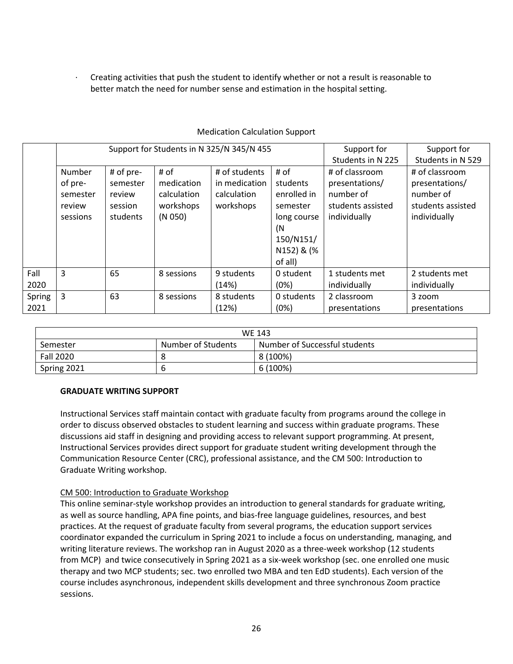· Creating activities that push the student to identify whether or not a result is reasonable to better match the need for number sense and estimation in the hospital setting.

|        |          |           |             | Support for Students in N 325/N 345/N 455 |             | Support for       | Support for       |
|--------|----------|-----------|-------------|-------------------------------------------|-------------|-------------------|-------------------|
|        |          |           |             |                                           |             | Students in N 225 | Students in N 529 |
|        | Number   | # of pre- | # of        | # of students                             | # of        | # of classroom    | # of classroom    |
|        | of pre-  | semester  | medication  | in medication                             | students    | presentations/    | presentations/    |
|        | semester | review    | calculation | calculation                               | enrolled in | number of         | number of         |
|        | review   | session   | workshops   | workshops                                 | semester    | students assisted | students assisted |
|        | sessions | students  | (N 050)     |                                           | long course | individually      | individually      |
|        |          |           |             |                                           | (N          |                   |                   |
|        |          |           |             |                                           | 150/N151/   |                   |                   |
|        |          |           |             |                                           | N152) & (%  |                   |                   |
|        |          |           |             |                                           | of all)     |                   |                   |
| Fall   | 3        | 65        | 8 sessions  | 9 students                                | 0 student   | 1 students met    | 2 students met    |
| 2020   |          |           |             | (14%)                                     | (0%)        | individually      | individually      |
| Spring | 3        | 63        | 8 sessions  | 8 students                                | 0 students  | 2 classroom       | 3 zoom            |
| 2021   |          |           |             | (12%)                                     | (0%)        | presentations     | presentations     |

## Medication Calculation Support

| <b>WE 143</b>    |                    |                               |  |  |  |
|------------------|--------------------|-------------------------------|--|--|--|
| Semester         | Number of Students | Number of Successful students |  |  |  |
| <b>Fall 2020</b> |                    | 8 (100%)                      |  |  |  |
| Spring 2021      |                    | 6 (100%)                      |  |  |  |

## **GRADUATE WRITING SUPPORT**

Instructional Services staff maintain contact with graduate faculty from programs around the college in order to discuss observed obstacles to student learning and success within graduate programs. These discussions aid staff in designing and providing access to relevant support programming. At present, Instructional Services provides direct support for graduate student writing development through the Communication Resource Center (CRC), professional assistance, and the CM 500: Introduction to Graduate Writing workshop.

## CM 500: Introduction to Graduate Workshop

This online seminar-style workshop provides an introduction to general standards for graduate writing, as well as source handling, APA fine points, and bias-free language guidelines, resources, and best practices. At the request of graduate faculty from several programs, the education support services coordinator expanded the curriculum in Spring 2021 to include a focus on understanding, managing, and writing literature reviews. The workshop ran in August 2020 as a three-week workshop (12 students from MCP) and twice consecutively in Spring 2021 as a six-week workshop (sec. one enrolled one music therapy and two MCP students; sec. two enrolled two MBA and ten EdD students). Each version of the course includes asynchronous, independent skills development and three synchronous Zoom practice sessions.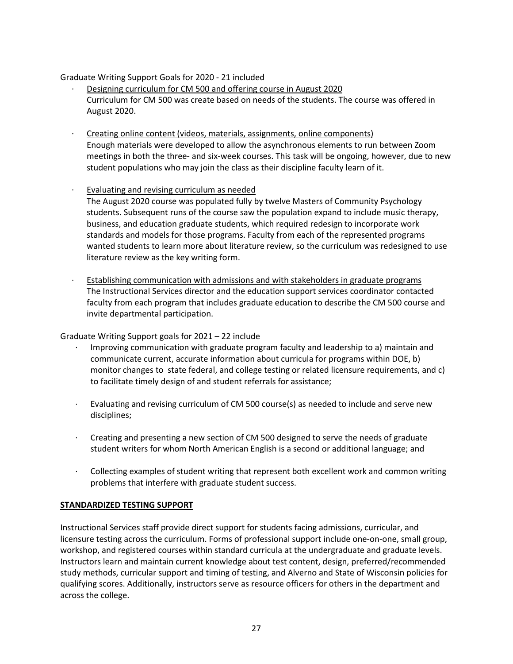## Graduate Writing Support Goals for 2020 - 21 included

- · Designing curriculum for CM 500 and offering course in August 2020 Curriculum for CM 500 was create based on needs of the students. The course was offered in August 2020.
- · Creating online content (videos, materials, assignments, online components) Enough materials were developed to allow the asynchronous elements to run between Zoom meetings in both the three- and six-week courses. This task will be ongoing, however, due to new student populations who may join the class as their discipline faculty learn of it.
- · Evaluating and revising curriculum as needed The August 2020 course was populated fully by twelve Masters of Community Psychology students. Subsequent runs of the course saw the population expand to include music therapy, business, and education graduate students, which required redesign to incorporate work standards and models for those programs. Faculty from each of the represented programs wanted students to learn more about literature review, so the curriculum was redesigned to use literature review as the key writing form.
- · Establishing communication with admissions and with stakeholders in graduate programs The Instructional Services director and the education support services coordinator contacted faculty from each program that includes graduate education to describe the CM 500 course and invite departmental participation.

### Graduate Writing Support goals for 2021 – 22 include

- · Improving communication with graduate program faculty and leadership to a) maintain and communicate current, accurate information about curricula for programs within DOE, b) monitor changes to state federal, and college testing or related licensure requirements, and c) to facilitate timely design of and student referrals for assistance;
- · Evaluating and revising curriculum of CM 500 course(s) as needed to include and serve new disciplines;
- · Creating and presenting a new section of CM 500 designed to serve the needs of graduate student writers for whom North American English is a second or additional language; and
- · Collecting examples of student writing that represent both excellent work and common writing problems that interfere with graduate student success.

## **STANDARDIZED TESTING SUPPORT**

Instructional Services staff provide direct support for students facing admissions, curricular, and licensure testing across the curriculum. Forms of professional support include one-on-one, small group, workshop, and registered courses within standard curricula at the undergraduate and graduate levels. Instructors learn and maintain current knowledge about test content, design, preferred/recommended study methods, curricular support and timing of testing, and Alverno and State of Wisconsin policies for qualifying scores. Additionally, instructors serve as resource officers for others in the department and across the college.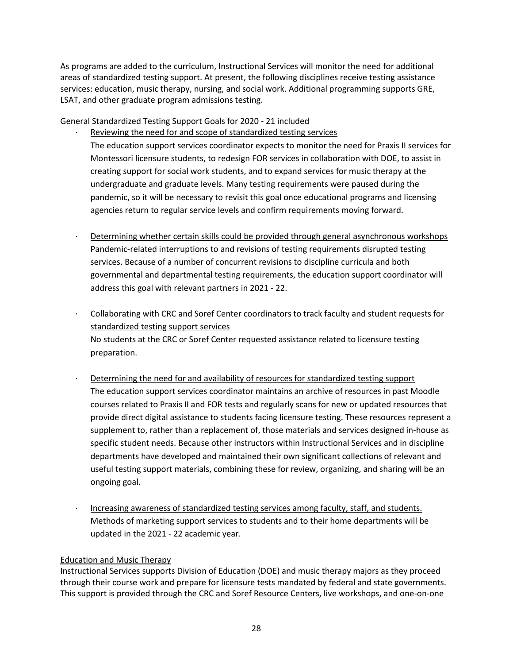As programs are added to the curriculum, Instructional Services will monitor the need for additional areas of standardized testing support. At present, the following disciplines receive testing assistance services: education, music therapy, nursing, and social work. Additional programming supports GRE, LSAT, and other graduate program admissions testing.

General Standardized Testing Support Goals for 2020 - 21 included

Reviewing the need for and scope of standardized testing services

The education support services coordinator expects to monitor the need for Praxis II services for Montessori licensure students, to redesign FOR services in collaboration with DOE, to assist in creating support for social work students, and to expand services for music therapy at the undergraduate and graduate levels. Many testing requirements were paused during the pandemic, so it will be necessary to revisit this goal once educational programs and licensing agencies return to regular service levels and confirm requirements moving forward.

Determining whether certain skills could be provided through general asynchronous workshops Pandemic-related interruptions to and revisions of testing requirements disrupted testing services. Because of a number of concurrent revisions to discipline curricula and both governmental and departmental testing requirements, the education support coordinator will address this goal with relevant partners in 2021 - 22.

· Collaborating with CRC and Soref Center coordinators to track faculty and student requests for standardized testing support services No students at the CRC or Soref Center requested assistance related to licensure testing preparation.

- Determining the need for and availability of resources for standardized testing support The education support services coordinator maintains an archive of resources in past Moodle courses related to Praxis II and FOR tests and regularly scans for new or updated resources that provide direct digital assistance to students facing licensure testing. These resources represent a supplement to, rather than a replacement of, those materials and services designed in-house as specific student needs. Because other instructors within Instructional Services and in discipline departments have developed and maintained their own significant collections of relevant and useful testing support materials, combining these for review, organizing, and sharing will be an ongoing goal.
	- · Increasing awareness of standardized testing services among faculty, staff, and students. Methods of marketing support services to students and to their home departments will be updated in the 2021 - 22 academic year.

## Education and Music Therapy

Instructional Services supports Division of Education (DOE) and music therapy majors as they proceed through their course work and prepare for licensure tests mandated by federal and state governments. This support is provided through the CRC and Soref Resource Centers, live workshops, and one-on-one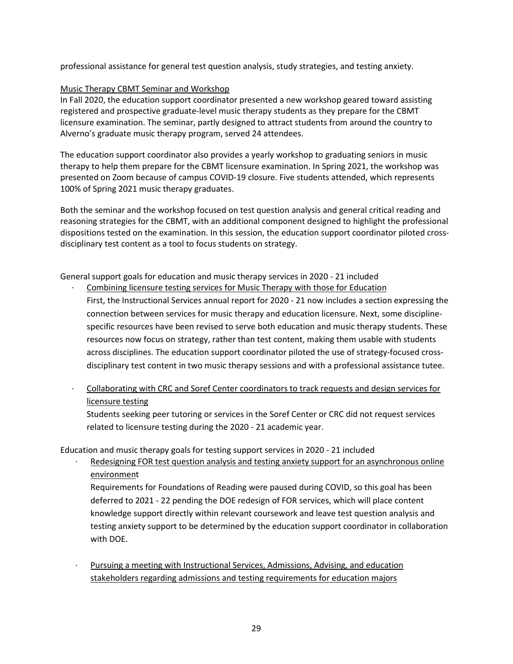professional assistance for general test question analysis, study strategies, and testing anxiety.

## Music Therapy CBMT Seminar and Workshop

In Fall 2020, the education support coordinator presented a new workshop geared toward assisting registered and prospective graduate-level music therapy students as they prepare for the CBMT licensure examination. The seminar, partly designed to attract students from around the country to Alverno's graduate music therapy program, served 24 attendees.

The education support coordinator also provides a yearly workshop to graduating seniors in music therapy to help them prepare for the CBMT licensure examination. In Spring 2021, the workshop was presented on Zoom because of campus COVID-19 closure. Five students attended, which represents 100% of Spring 2021 music therapy graduates.

Both the seminar and the workshop focused on test question analysis and general critical reading and reasoning strategies for the CBMT, with an additional component designed to highlight the professional dispositions tested on the examination. In this session, the education support coordinator piloted crossdisciplinary test content as a tool to focus students on strategy.

General support goals for education and music therapy services in 2020 - 21 included

Combining licensure testing services for Music Therapy with those for Education

First, the Instructional Services annual report for 2020 - 21 now includes a section expressing the connection between services for music therapy and education licensure. Next, some disciplinespecific resources have been revised to serve both education and music therapy students. These resources now focus on strategy, rather than test content, making them usable with students across disciplines. The education support coordinator piloted the use of strategy-focused crossdisciplinary test content in two music therapy sessions and with a professional assistance tutee.

· Collaborating with CRC and Soref Center coordinators to track requests and design services for licensure testing

Students seeking peer tutoring or services in the Soref Center or CRC did not request services related to licensure testing during the 2020 - 21 academic year.

Education and music therapy goals for testing support services in 2020 - 21 included

Redesigning FOR test question analysis and testing anxiety support for an asynchronous online environment

Requirements for Foundations of Reading were paused during COVID, so this goal has been deferred to 2021 - 22 pending the DOE redesign of FOR services, which will place content knowledge support directly within relevant coursework and leave test question analysis and testing anxiety support to be determined by the education support coordinator in collaboration with DOE.

Pursuing a meeting with Instructional Services, Admissions, Advising, and education stakeholders regarding admissions and testing requirements for education majors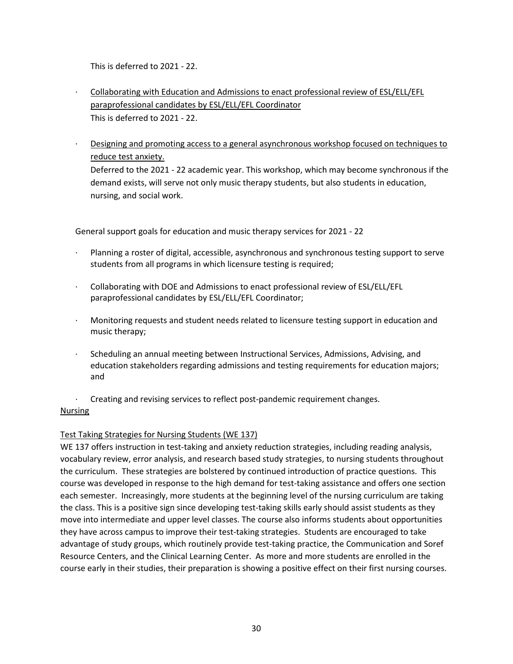This is deferred to 2021 - 22.

- · Collaborating with Education and Admissions to enact professional review of ESL/ELL/EFL paraprofessional candidates by ESL/ELL/EFL Coordinator This is deferred to 2021 - 22.
- Designing and promoting access to a general asynchronous workshop focused on techniques to reduce test anxiety.

Deferred to the 2021 - 22 academic year. This workshop, which may become synchronous if the demand exists, will serve not only music therapy students, but also students in education, nursing, and social work.

General support goals for education and music therapy services for 2021 - 22

- Planning a roster of digital, accessible, asynchronous and synchronous testing support to serve students from all programs in which licensure testing is required;
- · Collaborating with DOE and Admissions to enact professional review of ESL/ELL/EFL paraprofessional candidates by ESL/ELL/EFL Coordinator;
- · Monitoring requests and student needs related to licensure testing support in education and music therapy;
- Scheduling an annual meeting between Instructional Services, Admissions, Advising, and education stakeholders regarding admissions and testing requirements for education majors; and
- · Creating and revising services to reflect post-pandemic requirement changes.

## **Nursing**

## Test Taking Strategies for Nursing Students (WE 137)

WE 137 offers instruction in test-taking and anxiety reduction strategies, including reading analysis, vocabulary review, error analysis, and research based study strategies, to nursing students throughout the curriculum. These strategies are bolstered by continued introduction of practice questions. This course was developed in response to the high demand for test-taking assistance and offers one section each semester. Increasingly, more students at the beginning level of the nursing curriculum are taking the class. This is a positive sign since developing test-taking skills early should assist students as they move into intermediate and upper level classes. The course also informs students about opportunities they have across campus to improve their test-taking strategies. Students are encouraged to take advantage of study groups, which routinely provide test-taking practice, the Communication and Soref Resource Centers, and the Clinical Learning Center. As more and more students are enrolled in the course early in their studies, their preparation is showing a positive effect on their first nursing courses.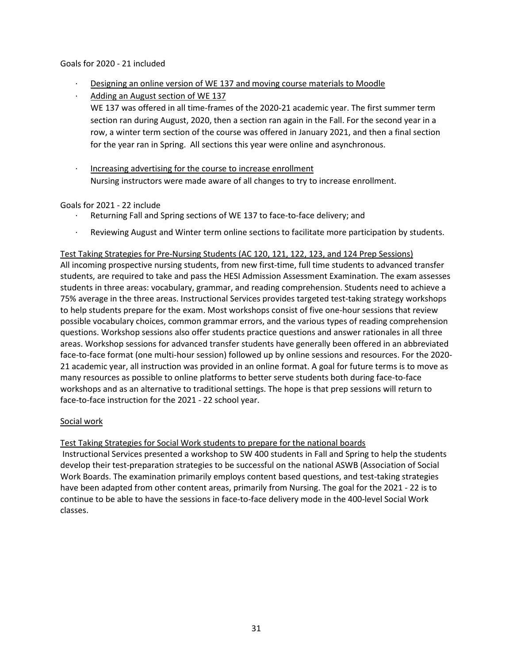### Goals for 2020 - 21 included

- · Designing an online version of WE 137 and moving course materials to Moodle
- Adding an August section of WE 137
- WE 137 was offered in all time-frames of the 2020-21 academic year. The first summer term section ran during August, 2020, then a section ran again in the Fall. For the second year in a row, a winter term section of the course was offered in January 2021, and then a final section for the year ran in Spring. All sections this year were online and asynchronous.
- Increasing advertising for the course to increase enrollment Nursing instructors were made aware of all changes to try to increase enrollment.

## Goals for 2021 - 22 include

- Returning Fall and Spring sections of WE 137 to face-to-face delivery; and
- · Reviewing August and Winter term online sections to facilitate more participation by students.

### Test Taking Strategies for Pre-Nursing Students (AC 120, 121, 122, 123, and 124 Prep Sessions)

All incoming prospective nursing students, from new first-time, full time students to advanced transfer students, are required to take and pass the HESI Admission Assessment Examination. The exam assesses students in three areas: vocabulary, grammar, and reading comprehension. Students need to achieve a 75% average in the three areas. Instructional Services provides targeted test-taking strategy workshops to help students prepare for the exam. Most workshops consist of five one-hour sessions that review possible vocabulary choices, common grammar errors, and the various types of reading comprehension questions. Workshop sessions also offer students practice questions and answer rationales in all three areas. Workshop sessions for advanced transfer students have generally been offered in an abbreviated face-to-face format (one multi-hour session) followed up by online sessions and resources. For the 2020- 21 academic year, all instruction was provided in an online format. A goal for future terms is to move as many resources as possible to online platforms to better serve students both during face-to-face workshops and as an alternative to traditional settings. The hope is that prep sessions will return to face-to-face instruction for the 2021 - 22 school year.

### Social work

### Test Taking Strategies for Social Work students to prepare for the national boards

 Instructional Services presented a workshop to SW 400 students in Fall and Spring to help the students develop their test-preparation strategies to be successful on the national ASWB (Association of Social Work Boards. The examination primarily employs content based questions, and test-taking strategies have been adapted from other content areas, primarily from Nursing. The goal for the 2021 - 22 is to continue to be able to have the sessions in face-to-face delivery mode in the 400-level Social Work classes.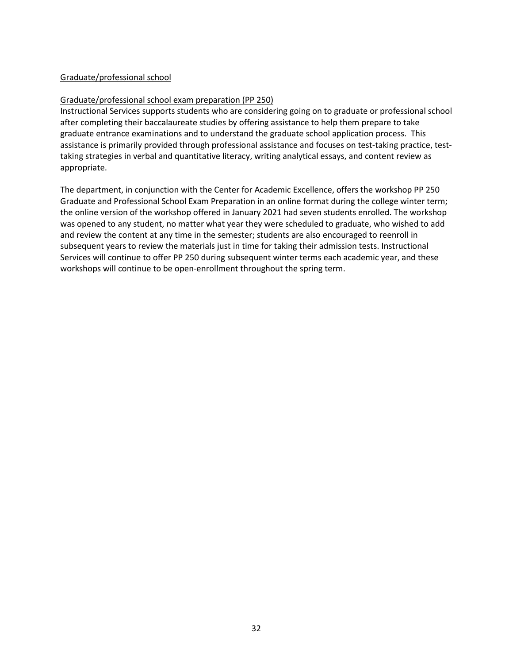## Graduate/professional school

#### Graduate/professional school exam preparation (PP 250)

Instructional Services supports students who are considering going on to graduate or professional school after completing their baccalaureate studies by offering assistance to help them prepare to take graduate entrance examinations and to understand the graduate school application process. This assistance is primarily provided through professional assistance and focuses on test-taking practice, testtaking strategies in verbal and quantitative literacy, writing analytical essays, and content review as appropriate.

The department, in conjunction with the Center for Academic Excellence, offers the workshop PP 250 Graduate and Professional School Exam Preparation in an online format during the college winter term; the online version of the workshop offered in January 2021 had seven students enrolled. The workshop was opened to any student, no matter what year they were scheduled to graduate, who wished to add and review the content at any time in the semester; students are also encouraged to reenroll in subsequent years to review the materials just in time for taking their admission tests. Instructional Services will continue to offer PP 250 during subsequent winter terms each academic year, and these workshops will continue to be open-enrollment throughout the spring term.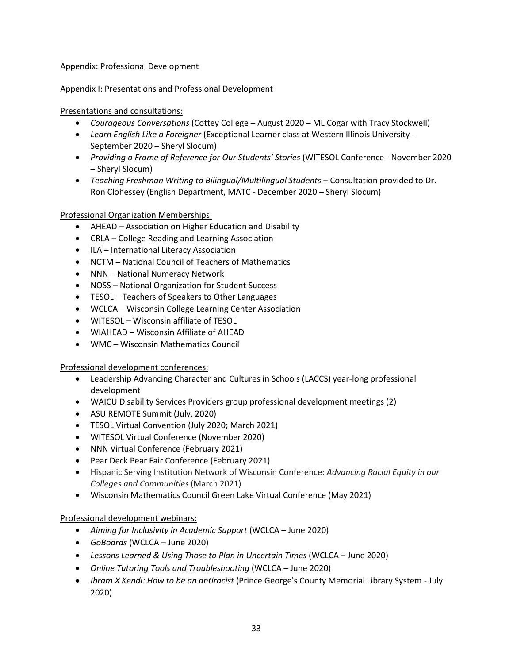Appendix: Professional Development

Appendix I: Presentations and Professional Development

Presentations and consultations:

- *Courageous Conversations* (Cottey College August 2020 ML Cogar with Tracy Stockwell)
- *Learn English Like a Foreigner* (Exceptional Learner class at Western Illinois University September 2020 – Sheryl Slocum)
- *Providing a Frame of Reference for Our Students' Stories* (WITESOL Conference November 2020 – Sheryl Slocum)
- *Teaching Freshman Writing to Bilingual/Multilingual Students* Consultation provided to Dr. Ron Clohessey (English Department, MATC - December 2020 – Sheryl Slocum)

Professional Organization Memberships:

- AHEAD Association on Higher Education and Disability
- CRLA College Reading and Learning Association
- ILA International Literacy Association
- NCTM National Council of Teachers of Mathematics
- NNN National Numeracy Network
- NOSS National Organization for Student Success
- TESOL Teachers of Speakers to Other Languages
- WCLCA Wisconsin College Learning Center Association
- WITESOL Wisconsin affiliate of TESOL
- WIAHEAD Wisconsin Affiliate of AHEAD
- WMC Wisconsin Mathematics Council

Professional development conferences:

- Leadership Advancing Character and Cultures in Schools (LACCS) year-long professional development
- WAICU Disability Services Providers group professional development meetings (2)
- ASU REMOTE Summit (July, 2020)
- TESOL Virtual Convention (July 2020; March 2021)
- WITESOL Virtual Conference (November 2020)
- NNN Virtual Conference (February 2021)
- Pear Deck Pear Fair Conference (February 2021)
- Hispanic Serving Institution Network of Wisconsin Conference: *Advancing Racial Equity in our Colleges and Communities* (March 2021)
- Wisconsin Mathematics Council Green Lake Virtual Conference (May 2021)

Professional development webinars:

- *Aiming for Inclusivity in Academic Support* (WCLCA June 2020)
- *GoBoards* (WCLCA June 2020)
- *Lessons Learned & Using Those to Plan in Uncertain Times* (WCLCA June 2020)
- *Online Tutoring Tools and Troubleshooting* (WCLCA June 2020)
- *Ibram X Kendi: How to be an antiracist* (Prince George's County Memorial Library System July 2020)